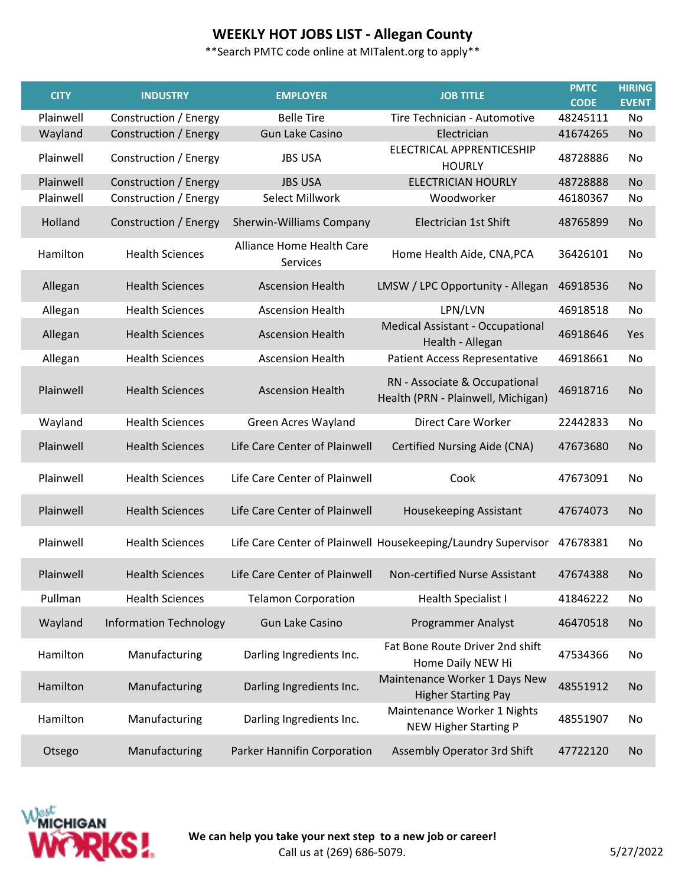| <b>CITY</b> | <b>INDUSTRY</b>               | <b>EMPLOYER</b>                       | <b>JOB TITLE</b>                                                    | <b>PMTC</b><br><b>CODE</b> | <b>HIRING</b><br><b>EVENT</b> |
|-------------|-------------------------------|---------------------------------------|---------------------------------------------------------------------|----------------------------|-------------------------------|
| Plainwell   | Construction / Energy         | <b>Belle Tire</b>                     | Tire Technician - Automotive                                        | 48245111                   | No                            |
| Wayland     | Construction / Energy         | <b>Gun Lake Casino</b>                | Electrician                                                         | 41674265                   | <b>No</b>                     |
| Plainwell   | Construction / Energy         | <b>JBS USA</b>                        | ELECTRICAL APPRENTICESHIP<br><b>HOURLY</b>                          | 48728886                   | No                            |
| Plainwell   | Construction / Energy         | <b>JBS USA</b>                        | <b>ELECTRICIAN HOURLY</b>                                           | 48728888                   | <b>No</b>                     |
| Plainwell   | Construction / Energy         | <b>Select Millwork</b>                | Woodworker                                                          | 46180367                   | No                            |
| Holland     | Construction / Energy         | <b>Sherwin-Williams Company</b>       | Electrician 1st Shift                                               | 48765899                   | <b>No</b>                     |
| Hamilton    | <b>Health Sciences</b>        | Alliance Home Health Care<br>Services | Home Health Aide, CNA, PCA                                          | 36426101                   | No                            |
| Allegan     | <b>Health Sciences</b>        | <b>Ascension Health</b>               | LMSW / LPC Opportunity - Allegan                                    | 46918536                   | <b>No</b>                     |
| Allegan     | <b>Health Sciences</b>        | <b>Ascension Health</b>               | LPN/LVN                                                             | 46918518                   | No                            |
| Allegan     | <b>Health Sciences</b>        | <b>Ascension Health</b>               | Medical Assistant - Occupational<br>Health - Allegan                | 46918646                   | Yes                           |
| Allegan     | <b>Health Sciences</b>        | <b>Ascension Health</b>               | <b>Patient Access Representative</b>                                | 46918661                   | No                            |
| Plainwell   | <b>Health Sciences</b>        | <b>Ascension Health</b>               | RN - Associate & Occupational<br>Health (PRN - Plainwell, Michigan) | 46918716                   | <b>No</b>                     |
| Wayland     | <b>Health Sciences</b>        | Green Acres Wayland                   | Direct Care Worker                                                  | 22442833                   | No                            |
| Plainwell   | <b>Health Sciences</b>        | Life Care Center of Plainwell         | Certified Nursing Aide (CNA)                                        | 47673680                   | <b>No</b>                     |
| Plainwell   | <b>Health Sciences</b>        | Life Care Center of Plainwell         | Cook                                                                | 47673091                   | No                            |
| Plainwell   | <b>Health Sciences</b>        | Life Care Center of Plainwell         | Housekeeping Assistant                                              | 47674073                   | <b>No</b>                     |
| Plainwell   | <b>Health Sciences</b>        |                                       | Life Care Center of Plainwell Housekeeping/Laundry Supervisor       | 47678381                   | No                            |
| Plainwell   | <b>Health Sciences</b>        | Life Care Center of Plainwell         | Non-certified Nurse Assistant                                       | 47674388                   | No                            |
| Pullman     | <b>Health Sciences</b>        | <b>Telamon Corporation</b>            | <b>Health Specialist I</b>                                          | 41846222                   | No                            |
| Wayland     | <b>Information Technology</b> | <b>Gun Lake Casino</b>                | <b>Programmer Analyst</b>                                           | 46470518                   | No                            |
| Hamilton    | Manufacturing                 | Darling Ingredients Inc.              | Fat Bone Route Driver 2nd shift<br>Home Daily NEW Hi                | 47534366                   | No                            |
| Hamilton    | Manufacturing                 | Darling Ingredients Inc.              | Maintenance Worker 1 Days New<br><b>Higher Starting Pay</b>         | 48551912                   | No                            |
| Hamilton    | Manufacturing                 | Darling Ingredients Inc.              | Maintenance Worker 1 Nights<br><b>NEW Higher Starting P</b>         | 48551907                   | No                            |
| Otsego      | Manufacturing                 | Parker Hannifin Corporation           | Assembly Operator 3rd Shift                                         | 47722120                   | <b>No</b>                     |

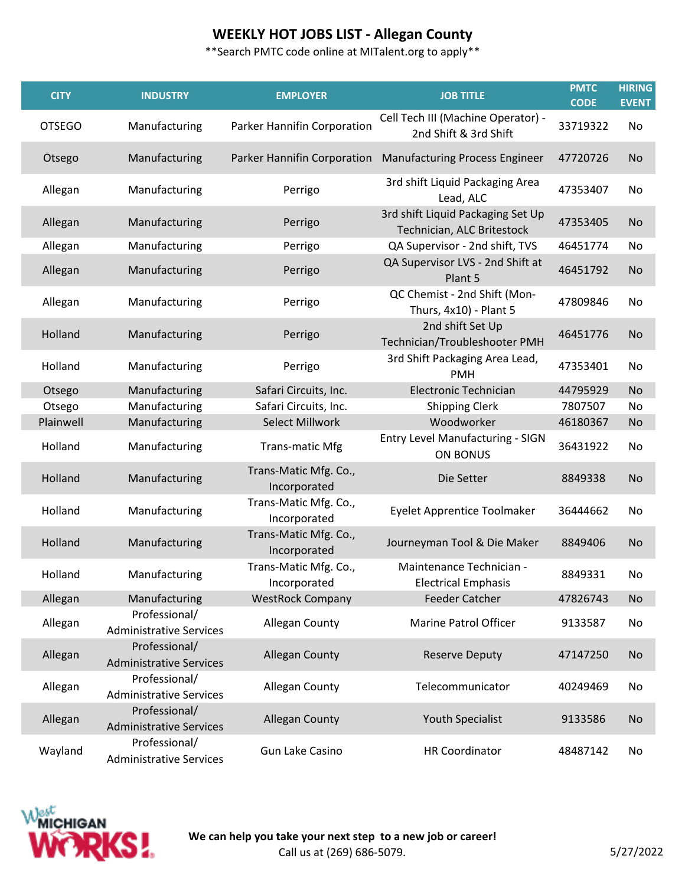| <b>CITY</b>   | <b>INDUSTRY</b>                                 | <b>EMPLOYER</b>                       | <b>JOB TITLE</b>                                                | <b>PMTC</b><br><b>CODE</b> | <b>HIRING</b><br><b>EVENT</b> |
|---------------|-------------------------------------------------|---------------------------------------|-----------------------------------------------------------------|----------------------------|-------------------------------|
| <b>OTSEGO</b> | Manufacturing                                   | Parker Hannifin Corporation           | Cell Tech III (Machine Operator) -<br>2nd Shift & 3rd Shift     | 33719322                   | No                            |
| Otsego        | Manufacturing                                   | Parker Hannifin Corporation           | <b>Manufacturing Process Engineer</b>                           | 47720726                   | No                            |
| Allegan       | Manufacturing                                   | Perrigo                               | 3rd shift Liquid Packaging Area<br>Lead, ALC                    | 47353407                   | No                            |
| Allegan       | Manufacturing                                   | Perrigo                               | 3rd shift Liquid Packaging Set Up<br>Technician, ALC Britestock | 47353405                   | <b>No</b>                     |
| Allegan       | Manufacturing                                   | Perrigo                               | QA Supervisor - 2nd shift, TVS                                  | 46451774                   | No                            |
| Allegan       | Manufacturing                                   | Perrigo                               | QA Supervisor LVS - 2nd Shift at<br>Plant 5                     | 46451792                   | No                            |
| Allegan       | Manufacturing                                   | Perrigo                               | QC Chemist - 2nd Shift (Mon-<br>Thurs, 4x10) - Plant 5          | 47809846                   | No                            |
| Holland       | Manufacturing                                   | Perrigo                               | 2nd shift Set Up<br>Technician/Troubleshooter PMH               | 46451776                   | <b>No</b>                     |
| Holland       | Manufacturing                                   | Perrigo                               | 3rd Shift Packaging Area Lead,<br><b>PMH</b>                    | 47353401                   | No                            |
| Otsego        | Manufacturing                                   | Safari Circuits, Inc.                 | <b>Electronic Technician</b>                                    | 44795929                   | <b>No</b>                     |
| Otsego        | Manufacturing                                   | Safari Circuits, Inc.                 | <b>Shipping Clerk</b>                                           | 7807507                    | No                            |
| Plainwell     | Manufacturing                                   | <b>Select Millwork</b>                | Woodworker                                                      | 46180367                   | No                            |
| Holland       | Manufacturing                                   | <b>Trans-matic Mfg</b>                | Entry Level Manufacturing - SIGN<br><b>ON BONUS</b>             | 36431922                   | No                            |
| Holland       | Manufacturing                                   | Trans-Matic Mfg. Co.,<br>Incorporated | Die Setter                                                      | 8849338                    | No                            |
| Holland       | Manufacturing                                   | Trans-Matic Mfg. Co.,<br>Incorporated | <b>Eyelet Apprentice Toolmaker</b>                              | 36444662                   | No                            |
| Holland       | Manufacturing                                   | Trans-Matic Mfg. Co.,<br>Incorporated | Journeyman Tool & Die Maker                                     | 8849406                    | No                            |
| Holland       | Manufacturing                                   | Trans-Matic Mfg. Co.,<br>Incorporated | Maintenance Technician -<br><b>Electrical Emphasis</b>          | 8849331                    | No                            |
| Allegan       | Manufacturing                                   | <b>WestRock Company</b>               | <b>Feeder Catcher</b>                                           | 47826743                   | <b>No</b>                     |
| Allegan       | Professional/<br><b>Administrative Services</b> | Allegan County                        | <b>Marine Patrol Officer</b>                                    | 9133587                    | No                            |
| Allegan       | Professional/<br><b>Administrative Services</b> | <b>Allegan County</b>                 | <b>Reserve Deputy</b>                                           | 47147250                   | No                            |
| Allegan       | Professional/<br><b>Administrative Services</b> | Allegan County                        | Telecommunicator                                                | 40249469                   | No                            |
| Allegan       | Professional/<br><b>Administrative Services</b> | <b>Allegan County</b>                 | <b>Youth Specialist</b>                                         | 9133586                    | No                            |
| Wayland       | Professional/<br><b>Administrative Services</b> | <b>Gun Lake Casino</b>                | <b>HR Coordinator</b>                                           | 48487142                   | No                            |

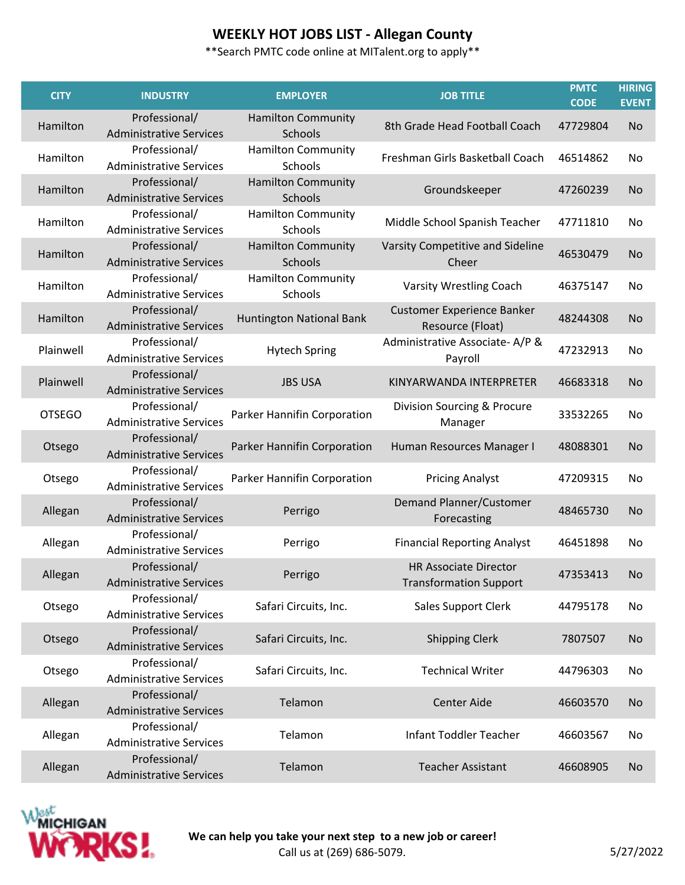| <b>CITY</b>   | <b>INDUSTRY</b>                                 | <b>EMPLOYER</b>                      | <b>JOB TITLE</b>                                              | <b>PMTC</b><br><b>CODE</b> | <b>HIRING</b><br><b>EVENT</b> |
|---------------|-------------------------------------------------|--------------------------------------|---------------------------------------------------------------|----------------------------|-------------------------------|
| Hamilton      | Professional/<br><b>Administrative Services</b> | <b>Hamilton Community</b><br>Schools | 8th Grade Head Football Coach                                 | 47729804                   | <b>No</b>                     |
| Hamilton      | Professional/<br><b>Administrative Services</b> | <b>Hamilton Community</b><br>Schools | Freshman Girls Basketball Coach                               | 46514862                   | No                            |
| Hamilton      | Professional/<br><b>Administrative Services</b> | <b>Hamilton Community</b><br>Schools | Groundskeeper                                                 | 47260239                   | <b>No</b>                     |
| Hamilton      | Professional/<br><b>Administrative Services</b> | <b>Hamilton Community</b><br>Schools | Middle School Spanish Teacher                                 | 47711810                   | No                            |
| Hamilton      | Professional/<br><b>Administrative Services</b> | <b>Hamilton Community</b><br>Schools | Varsity Competitive and Sideline<br>Cheer                     | 46530479                   | No                            |
| Hamilton      | Professional/<br><b>Administrative Services</b> | <b>Hamilton Community</b><br>Schools | Varsity Wrestling Coach                                       | 46375147                   | No                            |
| Hamilton      | Professional/<br><b>Administrative Services</b> | Huntington National Bank             | <b>Customer Experience Banker</b><br>Resource (Float)         | 48244308                   | <b>No</b>                     |
| Plainwell     | Professional/<br><b>Administrative Services</b> | <b>Hytech Spring</b>                 | Administrative Associate-A/P &<br>Payroll                     | 47232913                   | No                            |
| Plainwell     | Professional/<br><b>Administrative Services</b> | <b>JBS USA</b>                       | KINYARWANDA INTERPRETER                                       | 46683318                   | <b>No</b>                     |
| <b>OTSEGO</b> | Professional/<br><b>Administrative Services</b> | Parker Hannifin Corporation          | Division Sourcing & Procure<br>Manager                        | 33532265                   | No                            |
| Otsego        | Professional/<br><b>Administrative Services</b> | Parker Hannifin Corporation          | Human Resources Manager I                                     | 48088301                   | <b>No</b>                     |
| Otsego        | Professional/<br><b>Administrative Services</b> | Parker Hannifin Corporation          | <b>Pricing Analyst</b>                                        | 47209315                   | No                            |
| Allegan       | Professional/<br><b>Administrative Services</b> | Perrigo                              | <b>Demand Planner/Customer</b><br>Forecasting                 | 48465730                   | <b>No</b>                     |
| Allegan       | Professional/<br><b>Administrative Services</b> | Perrigo                              | <b>Financial Reporting Analyst</b>                            | 46451898                   | No                            |
| Allegan       | Professional/<br><b>Administrative Services</b> | Perrigo                              | <b>HR Associate Director</b><br><b>Transformation Support</b> | 47353413                   | No                            |
| Otsego        | Professional/<br><b>Administrative Services</b> | Safari Circuits, Inc.                | Sales Support Clerk                                           | 44795178                   | No                            |
| Otsego        | Professional/<br><b>Administrative Services</b> | Safari Circuits, Inc.                | <b>Shipping Clerk</b>                                         | 7807507                    | <b>No</b>                     |
| Otsego        | Professional/<br><b>Administrative Services</b> | Safari Circuits, Inc.                | <b>Technical Writer</b>                                       | 44796303                   | No                            |
| Allegan       | Professional/<br><b>Administrative Services</b> | Telamon                              | <b>Center Aide</b>                                            | 46603570                   | No                            |
| Allegan       | Professional/<br><b>Administrative Services</b> | Telamon                              | <b>Infant Toddler Teacher</b>                                 | 46603567                   | No                            |
| Allegan       | Professional/<br><b>Administrative Services</b> | Telamon                              | <b>Teacher Assistant</b>                                      | 46608905                   | No                            |

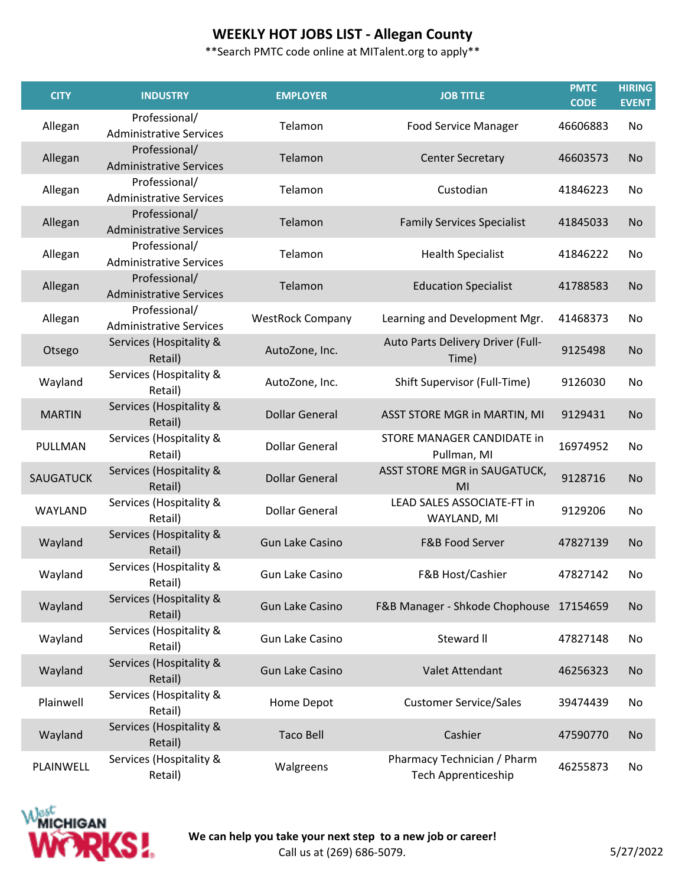| <b>CITY</b>   | <b>INDUSTRY</b>                                 | <b>EMPLOYER</b>         | <b>JOB TITLE</b>                                          | <b>PMTC</b><br><b>CODE</b> | <b>HIRING</b><br><b>EVENT</b> |
|---------------|-------------------------------------------------|-------------------------|-----------------------------------------------------------|----------------------------|-------------------------------|
| Allegan       | Professional/<br><b>Administrative Services</b> | Telamon                 | <b>Food Service Manager</b>                               | 46606883                   | No                            |
| Allegan       | Professional/<br><b>Administrative Services</b> | Telamon                 | <b>Center Secretary</b>                                   | 46603573                   | No                            |
| Allegan       | Professional/<br><b>Administrative Services</b> | Telamon                 | Custodian                                                 | 41846223                   | No                            |
| Allegan       | Professional/<br><b>Administrative Services</b> | Telamon                 | <b>Family Services Specialist</b>                         | 41845033                   | <b>No</b>                     |
| Allegan       | Professional/<br><b>Administrative Services</b> | Telamon                 | <b>Health Specialist</b>                                  | 41846222                   | No                            |
| Allegan       | Professional/<br><b>Administrative Services</b> | Telamon                 | <b>Education Specialist</b>                               | 41788583                   | <b>No</b>                     |
| Allegan       | Professional/<br><b>Administrative Services</b> | <b>WestRock Company</b> | Learning and Development Mgr.                             | 41468373                   | No                            |
| Otsego        | Services (Hospitality &<br>Retail)              | AutoZone, Inc.          | Auto Parts Delivery Driver (Full-<br>Time)                | 9125498                    | <b>No</b>                     |
| Wayland       | Services (Hospitality &<br>Retail)              | AutoZone, Inc.          | Shift Supervisor (Full-Time)                              | 9126030                    | No                            |
| <b>MARTIN</b> | Services (Hospitality &<br>Retail)              | <b>Dollar General</b>   | ASST STORE MGR in MARTIN, MI                              | 9129431                    | No                            |
| PULLMAN       | Services (Hospitality &<br>Retail)              | <b>Dollar General</b>   | STORE MANAGER CANDIDATE in<br>Pullman, MI                 | 16974952                   | No                            |
| SAUGATUCK     | Services (Hospitality &<br>Retail)              | <b>Dollar General</b>   | ASST STORE MGR in SAUGATUCK,<br>MI                        | 9128716                    | No                            |
| WAYLAND       | Services (Hospitality &<br>Retail)              | <b>Dollar General</b>   | LEAD SALES ASSOCIATE-FT in<br>WAYLAND, MI                 | 9129206                    | No                            |
| Wayland       | Services (Hospitality &<br>Retail)              | <b>Gun Lake Casino</b>  | F&B Food Server                                           | 47827139                   | <b>No</b>                     |
| Wayland       | Services (Hospitality &<br>Retail)              | <b>Gun Lake Casino</b>  | F&B Host/Cashier                                          | 47827142                   | No                            |
| Wayland       | Services (Hospitality &<br>Retail)              | <b>Gun Lake Casino</b>  | F&B Manager - Shkode Chophouse 17154659                   |                            | No                            |
| Wayland       | Services (Hospitality &<br>Retail)              | Gun Lake Casino         | Steward II                                                | 47827148                   | No                            |
| Wayland       | Services (Hospitality &<br>Retail)              | <b>Gun Lake Casino</b>  | Valet Attendant                                           | 46256323                   | <b>No</b>                     |
| Plainwell     | Services (Hospitality &<br>Retail)              | Home Depot              | <b>Customer Service/Sales</b>                             | 39474439                   | No                            |
| Wayland       | Services (Hospitality &<br>Retail)              | <b>Taco Bell</b>        | Cashier                                                   | 47590770                   | <b>No</b>                     |
| PLAINWELL     | Services (Hospitality &<br>Retail)              | Walgreens               | Pharmacy Technician / Pharm<br><b>Tech Apprenticeship</b> | 46255873                   | No                            |

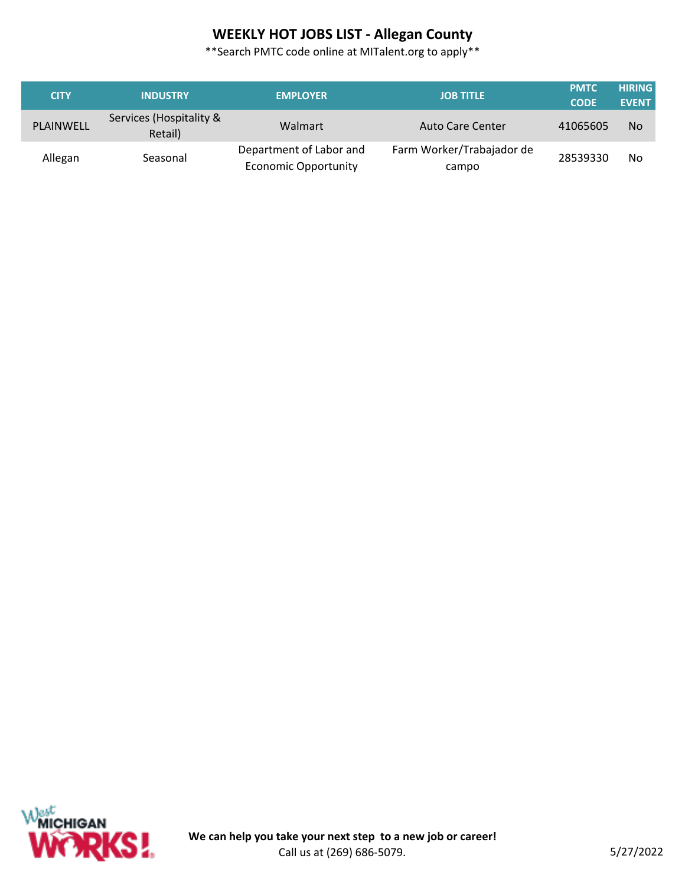| <b>CITY</b> | <b>INDUSTRY</b>                    | <b>EMPLOYER</b>                                        | <b>JOB TITLE</b>                   | <b>PMTC</b><br><b>CODE</b> | <b>HIRING</b><br><b>EVENT</b> |
|-------------|------------------------------------|--------------------------------------------------------|------------------------------------|----------------------------|-------------------------------|
| PLAINWELL   | Services (Hospitality &<br>Retail) | Walmart                                                | <b>Auto Care Center</b>            | 41065605                   | No                            |
| Allegan     | Seasonal                           | Department of Labor and<br><b>Economic Opportunity</b> | Farm Worker/Trabajador de<br>campo | 28539330                   | No                            |

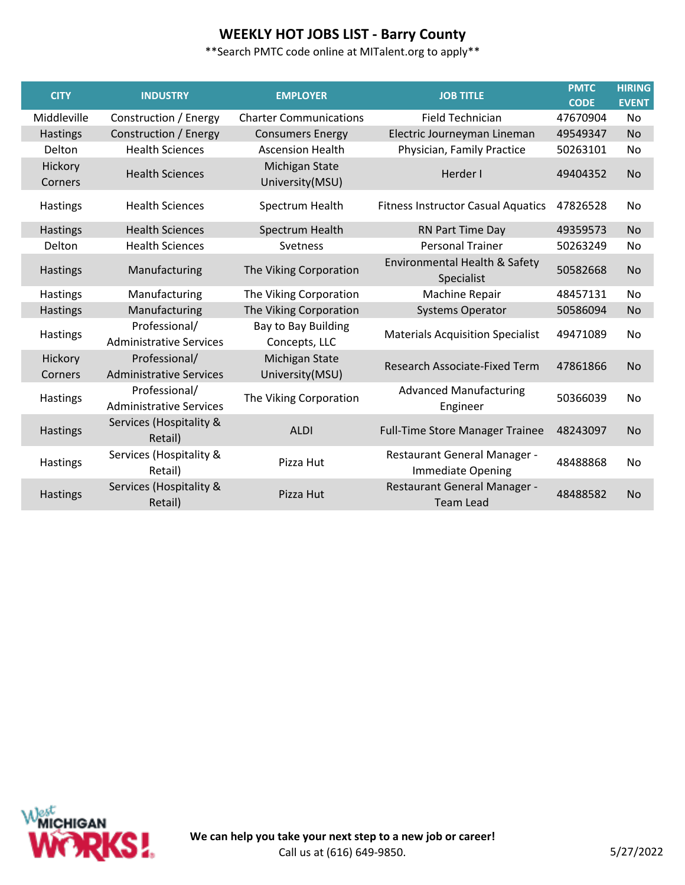# **WEEKLY HOT JOBS LIST - Barry County**

| <b>CITY</b>        | <b>INDUSTRY</b>                                 | <b>EMPLOYER</b>                      | <b>JOB TITLE</b>                                  | <b>PMTC</b><br><b>CODE</b> | <b>HIRING</b><br><b>EVENT</b> |
|--------------------|-------------------------------------------------|--------------------------------------|---------------------------------------------------|----------------------------|-------------------------------|
| Middleville        | Construction / Energy                           | <b>Charter Communications</b>        | <b>Field Technician</b>                           | 47670904                   | <b>No</b>                     |
| <b>Hastings</b>    | Construction / Energy                           | <b>Consumers Energy</b>              | Electric Journeyman Lineman                       | 49549347                   | <b>No</b>                     |
| Delton             | <b>Health Sciences</b>                          | <b>Ascension Health</b>              | Physician, Family Practice                        | 50263101                   | No                            |
| Hickory<br>Corners | <b>Health Sciences</b>                          | Michigan State<br>University(MSU)    | Herder I                                          | 49404352                   | <b>No</b>                     |
| Hastings           | <b>Health Sciences</b>                          | Spectrum Health                      | <b>Fitness Instructor Casual Aquatics</b>         | 47826528                   | No                            |
| Hastings           | <b>Health Sciences</b>                          | Spectrum Health                      | RN Part Time Day                                  | 49359573                   | <b>No</b>                     |
| Delton             | <b>Health Sciences</b>                          | Svetness                             | <b>Personal Trainer</b>                           | 50263249                   | No                            |
| Hastings           | Manufacturing                                   | The Viking Corporation               | Environmental Health & Safety<br>Specialist       | 50582668                   | <b>No</b>                     |
| Hastings           | Manufacturing                                   | The Viking Corporation               | Machine Repair                                    | 48457131                   | <b>No</b>                     |
| <b>Hastings</b>    | Manufacturing                                   | The Viking Corporation               | <b>Systems Operator</b>                           | 50586094                   | <b>No</b>                     |
| Hastings           | Professional/<br><b>Administrative Services</b> | Bay to Bay Building<br>Concepts, LLC | <b>Materials Acquisition Specialist</b>           | 49471089                   | No                            |
| Hickory<br>Corners | Professional/<br><b>Administrative Services</b> | Michigan State<br>University(MSU)    | Research Associate-Fixed Term                     | 47861866                   | <b>No</b>                     |
| Hastings           | Professional/<br><b>Administrative Services</b> | The Viking Corporation               | <b>Advanced Manufacturing</b><br>Engineer         | 50366039                   | No                            |
| Hastings           | Services (Hospitality &<br>Retail)              | <b>ALDI</b>                          | <b>Full-Time Store Manager Trainee</b>            | 48243097                   | <b>No</b>                     |
| Hastings           | Services (Hospitality &<br>Retail)              | Pizza Hut                            | Restaurant General Manager -<br>Immediate Opening | 48488868                   | No                            |
| Hastings           | Services (Hospitality &<br>Retail)              | Pizza Hut                            | Restaurant General Manager -<br><b>Team Lead</b>  | 48488582                   | <b>No</b>                     |

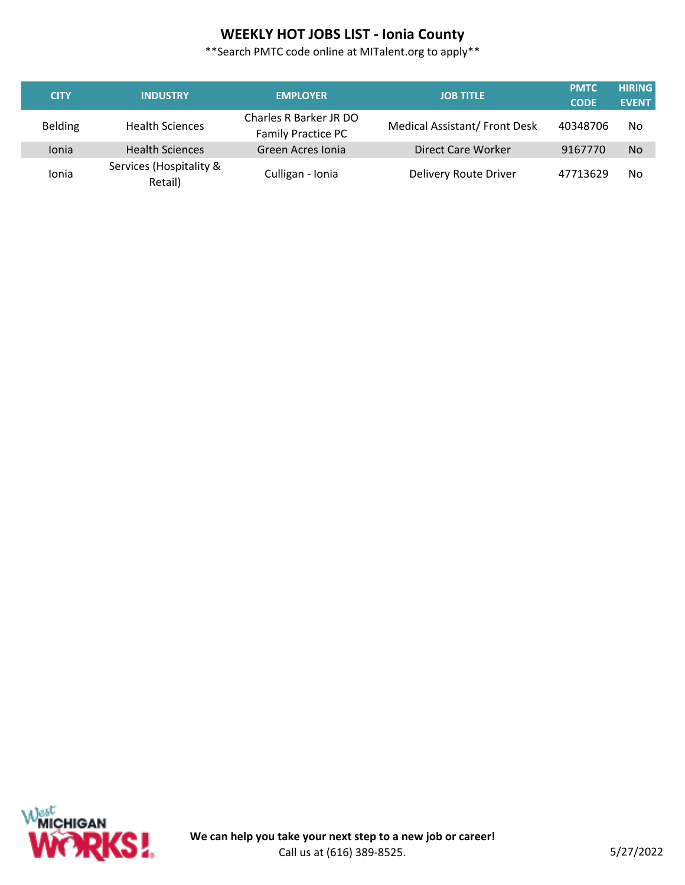# **WEEKLY HOT JOBS LIST - Ionia County**

\*\*Search PMTC code online at MITalent.org to apply\*\*

| <b>CITY</b>    | <b>INDUSTRY</b>                    | <b>EMPLOYER</b>                                     | <b>JOB TITLE</b>              | <b>PMTC</b><br><b>CODE</b> | <b>HIRING</b><br><b>EVENT</b> |
|----------------|------------------------------------|-----------------------------------------------------|-------------------------------|----------------------------|-------------------------------|
| <b>Belding</b> | <b>Health Sciences</b>             | Charles R Barker JR DO<br><b>Family Practice PC</b> | Medical Assistant/ Front Desk | 40348706                   | No                            |
| Ionia          | <b>Health Sciences</b>             | Green Acres Ionia                                   | Direct Care Worker            | 9167770                    | <b>No</b>                     |
| Ionia          | Services (Hospitality &<br>Retail) | Culligan - Ionia                                    | Delivery Route Driver         | 47713629                   | No                            |



Γ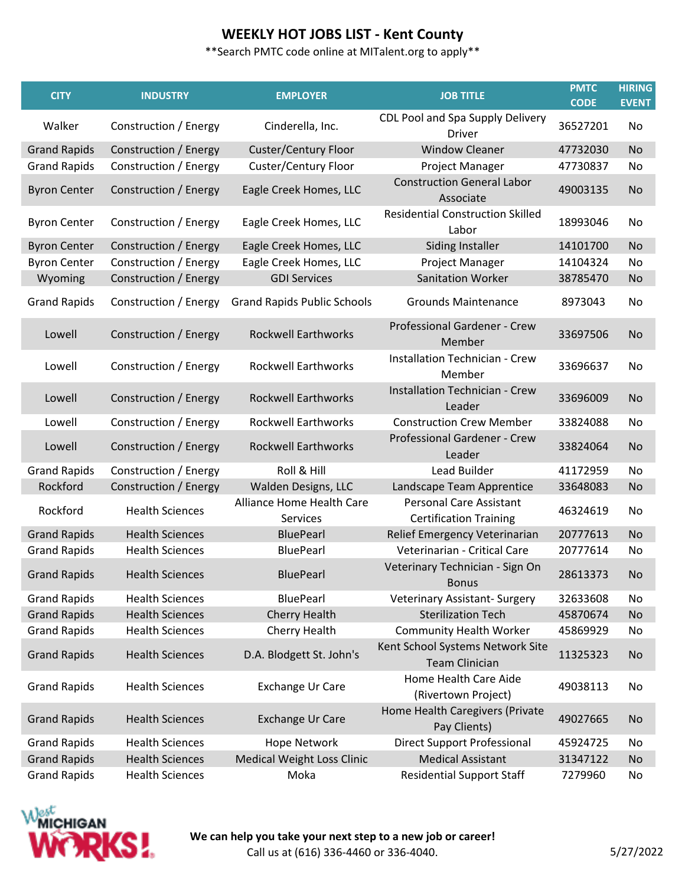| <b>CITY</b>         | <b>INDUSTRY</b>        | <b>EMPLOYER</b>                       | <b>JOB TITLE</b>                                                | <b>PMTC</b><br><b>CODE</b> | <b>HIRING</b><br><b>EVENT</b> |
|---------------------|------------------------|---------------------------------------|-----------------------------------------------------------------|----------------------------|-------------------------------|
| Walker              | Construction / Energy  | Cinderella, Inc.                      | CDL Pool and Spa Supply Delivery<br><b>Driver</b>               | 36527201                   | No                            |
| <b>Grand Rapids</b> | Construction / Energy  | Custer/Century Floor                  | <b>Window Cleaner</b>                                           | 47732030                   | <b>No</b>                     |
| <b>Grand Rapids</b> | Construction / Energy  | Custer/Century Floor                  | Project Manager                                                 | 47730837                   | No                            |
| <b>Byron Center</b> | Construction / Energy  | Eagle Creek Homes, LLC                | <b>Construction General Labor</b><br>Associate                  | 49003135                   | <b>No</b>                     |
| <b>Byron Center</b> | Construction / Energy  | Eagle Creek Homes, LLC                | <b>Residential Construction Skilled</b><br>Labor                | 18993046                   | No                            |
| <b>Byron Center</b> | Construction / Energy  | Eagle Creek Homes, LLC                | Siding Installer                                                | 14101700                   | <b>No</b>                     |
| <b>Byron Center</b> | Construction / Energy  | Eagle Creek Homes, LLC                | Project Manager                                                 | 14104324                   | No                            |
| Wyoming             | Construction / Energy  | <b>GDI Services</b>                   | <b>Sanitation Worker</b>                                        | 38785470                   | No                            |
| <b>Grand Rapids</b> | Construction / Energy  | <b>Grand Rapids Public Schools</b>    | <b>Grounds Maintenance</b>                                      | 8973043                    | No                            |
| Lowell              | Construction / Energy  | <b>Rockwell Earthworks</b>            | Professional Gardener - Crew<br>Member                          | 33697506                   | <b>No</b>                     |
| Lowell              | Construction / Energy  | <b>Rockwell Earthworks</b>            | <b>Installation Technician - Crew</b><br>Member                 | 33696637                   | No                            |
| Lowell              | Construction / Energy  | <b>Rockwell Earthworks</b>            | <b>Installation Technician - Crew</b><br>Leader                 | 33696009                   | No                            |
| Lowell              | Construction / Energy  | <b>Rockwell Earthworks</b>            | <b>Construction Crew Member</b>                                 | 33824088                   | No                            |
| Lowell              | Construction / Energy  | <b>Rockwell Earthworks</b>            | Professional Gardener - Crew<br>Leader                          | 33824064                   | No                            |
| <b>Grand Rapids</b> | Construction / Energy  | Roll & Hill                           | Lead Builder                                                    | 41172959                   | No                            |
| Rockford            | Construction / Energy  | Walden Designs, LLC                   | Landscape Team Apprentice                                       | 33648083                   | <b>No</b>                     |
| Rockford            | <b>Health Sciences</b> | Alliance Home Health Care<br>Services | <b>Personal Care Assistant</b><br><b>Certification Training</b> | 46324619                   | No                            |
| <b>Grand Rapids</b> | <b>Health Sciences</b> | <b>BluePearl</b>                      | Relief Emergency Veterinarian                                   | 20777613                   | <b>No</b>                     |
| <b>Grand Rapids</b> | <b>Health Sciences</b> | <b>BluePearl</b>                      | Veterinarian - Critical Care                                    | 20777614                   | No                            |
| <b>Grand Rapids</b> | <b>Health Sciences</b> | <b>BluePearl</b>                      | Veterinary Technician - Sign On<br><b>Bonus</b>                 | 28613373                   | No                            |
| <b>Grand Rapids</b> | <b>Health Sciences</b> | <b>BluePearl</b>                      | <b>Veterinary Assistant- Surgery</b>                            | 32633608                   | No                            |
| <b>Grand Rapids</b> | <b>Health Sciences</b> | <b>Cherry Health</b>                  | <b>Sterilization Tech</b>                                       | 45870674                   | <b>No</b>                     |
| <b>Grand Rapids</b> | <b>Health Sciences</b> | Cherry Health                         | <b>Community Health Worker</b>                                  | 45869929                   | No                            |
| <b>Grand Rapids</b> | <b>Health Sciences</b> | D.A. Blodgett St. John's              | Kent School Systems Network Site<br><b>Team Clinician</b>       | 11325323                   | <b>No</b>                     |
| <b>Grand Rapids</b> | <b>Health Sciences</b> | Exchange Ur Care                      | Home Health Care Aide<br>(Rivertown Project)                    | 49038113                   | No                            |
| <b>Grand Rapids</b> | <b>Health Sciences</b> | <b>Exchange Ur Care</b>               | Home Health Caregivers (Private<br>Pay Clients)                 | 49027665                   | <b>No</b>                     |
| <b>Grand Rapids</b> | <b>Health Sciences</b> | <b>Hope Network</b>                   | <b>Direct Support Professional</b>                              | 45924725                   | No                            |
| <b>Grand Rapids</b> | <b>Health Sciences</b> | <b>Medical Weight Loss Clinic</b>     | <b>Medical Assistant</b>                                        | 31347122                   | <b>No</b>                     |
| <b>Grand Rapids</b> | <b>Health Sciences</b> | Moka                                  | <b>Residential Support Staff</b>                                | 7279960                    | No                            |

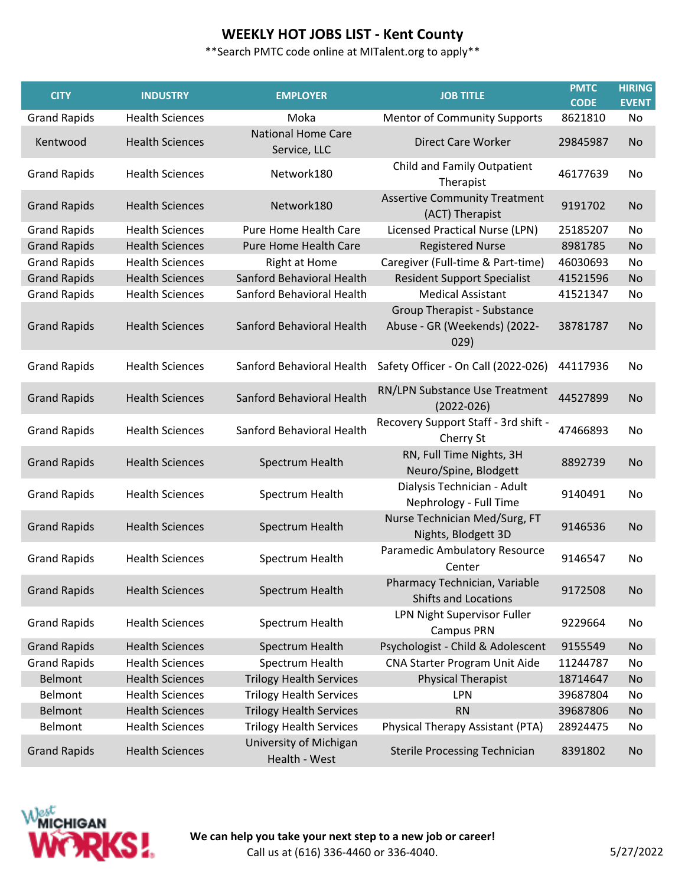| <b>CITY</b>         | <b>INDUSTRY</b>        | <b>EMPLOYER</b>                           | <b>JOB TITLE</b>                                                    | <b>PMTC</b><br><b>CODE</b> | <b>HIRING</b><br><b>EVENT</b> |
|---------------------|------------------------|-------------------------------------------|---------------------------------------------------------------------|----------------------------|-------------------------------|
| <b>Grand Rapids</b> | <b>Health Sciences</b> | Moka                                      | <b>Mentor of Community Supports</b>                                 | 8621810                    | No                            |
| Kentwood            | <b>Health Sciences</b> | <b>National Home Care</b><br>Service, LLC | <b>Direct Care Worker</b>                                           | 29845987                   | <b>No</b>                     |
| <b>Grand Rapids</b> | <b>Health Sciences</b> | Network180                                | Child and Family Outpatient<br>Therapist                            | 46177639                   | No                            |
| <b>Grand Rapids</b> | <b>Health Sciences</b> | Network180                                | <b>Assertive Community Treatment</b><br>(ACT) Therapist             | 9191702                    | <b>No</b>                     |
| <b>Grand Rapids</b> | <b>Health Sciences</b> | Pure Home Health Care                     | Licensed Practical Nurse (LPN)                                      | 25185207                   | No                            |
| <b>Grand Rapids</b> | <b>Health Sciences</b> | Pure Home Health Care                     | <b>Registered Nurse</b>                                             | 8981785                    | <b>No</b>                     |
| <b>Grand Rapids</b> | <b>Health Sciences</b> | <b>Right at Home</b>                      | Caregiver (Full-time & Part-time)                                   | 46030693                   | No                            |
| <b>Grand Rapids</b> | <b>Health Sciences</b> | Sanford Behavioral Health                 | <b>Resident Support Specialist</b>                                  | 41521596                   | No                            |
| <b>Grand Rapids</b> | <b>Health Sciences</b> | Sanford Behavioral Health                 | <b>Medical Assistant</b>                                            | 41521347                   | No                            |
| <b>Grand Rapids</b> | <b>Health Sciences</b> | Sanford Behavioral Health                 | Group Therapist - Substance<br>Abuse - GR (Weekends) (2022-<br>029) | 38781787                   | <b>No</b>                     |
| <b>Grand Rapids</b> | <b>Health Sciences</b> | Sanford Behavioral Health                 | Safety Officer - On Call (2022-026)                                 | 44117936                   | No                            |
| <b>Grand Rapids</b> | <b>Health Sciences</b> | Sanford Behavioral Health                 | RN/LPN Substance Use Treatment<br>$(2022 - 026)$                    | 44527899                   | No                            |
| <b>Grand Rapids</b> | <b>Health Sciences</b> | Sanford Behavioral Health                 | Recovery Support Staff - 3rd shift -<br>Cherry St                   | 47466893                   | No                            |
| <b>Grand Rapids</b> | <b>Health Sciences</b> | Spectrum Health                           | RN, Full Time Nights, 3H<br>Neuro/Spine, Blodgett                   | 8892739                    | <b>No</b>                     |
| <b>Grand Rapids</b> | <b>Health Sciences</b> | Spectrum Health                           | Dialysis Technician - Adult<br>Nephrology - Full Time               | 9140491                    | No                            |
| <b>Grand Rapids</b> | <b>Health Sciences</b> | Spectrum Health                           | Nurse Technician Med/Surg, FT<br>Nights, Blodgett 3D                | 9146536                    | <b>No</b>                     |
| <b>Grand Rapids</b> | <b>Health Sciences</b> | Spectrum Health                           | Paramedic Ambulatory Resource<br>Center                             | 9146547                    | No.                           |
| <b>Grand Rapids</b> | <b>Health Sciences</b> | Spectrum Health                           | Pharmacy Technician, Variable<br><b>Shifts and Locations</b>        | 9172508                    | <b>No</b>                     |
| <b>Grand Rapids</b> | <b>Health Sciences</b> | Spectrum Health                           | LPN Night Supervisor Fuller<br><b>Campus PRN</b>                    | 9229664                    | No                            |
| <b>Grand Rapids</b> | <b>Health Sciences</b> | Spectrum Health                           | Psychologist - Child & Adolescent                                   | 9155549                    | No                            |
| <b>Grand Rapids</b> | <b>Health Sciences</b> | Spectrum Health                           | CNA Starter Program Unit Aide                                       | 11244787                   | No                            |
| Belmont             | <b>Health Sciences</b> | <b>Trilogy Health Services</b>            | <b>Physical Therapist</b>                                           | 18714647                   | <b>No</b>                     |
| Belmont             | <b>Health Sciences</b> | <b>Trilogy Health Services</b>            | LPN                                                                 | 39687804                   | No                            |
| Belmont             | <b>Health Sciences</b> | <b>Trilogy Health Services</b>            | <b>RN</b>                                                           | 39687806                   | <b>No</b>                     |
| Belmont             | <b>Health Sciences</b> | <b>Trilogy Health Services</b>            | Physical Therapy Assistant (PTA)                                    | 28924475                   | No                            |
| <b>Grand Rapids</b> | <b>Health Sciences</b> | University of Michigan<br>Health - West   | <b>Sterile Processing Technician</b>                                | 8391802                    | <b>No</b>                     |

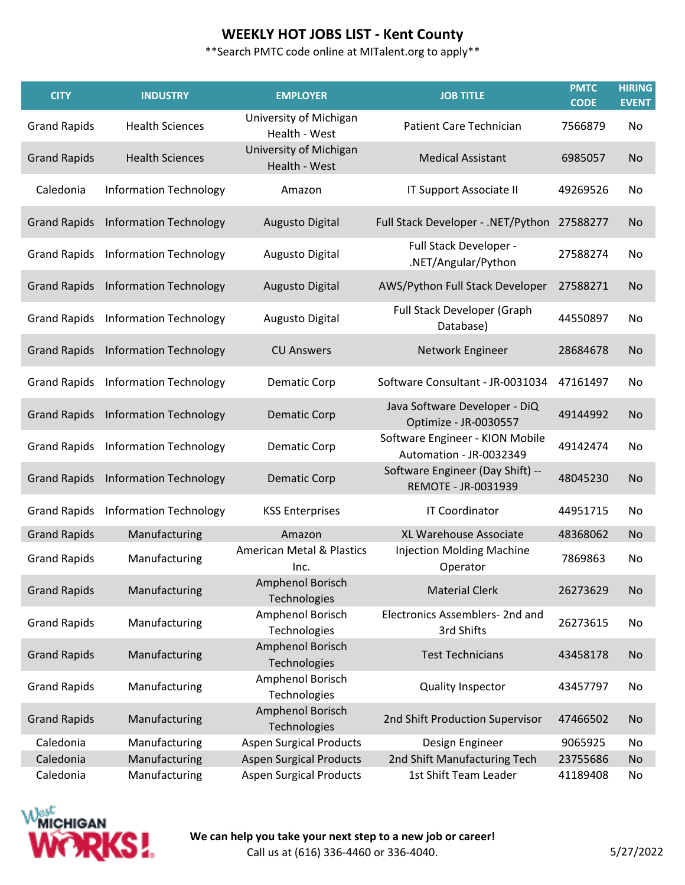\*\*Search PMTC code online at MITalent.org to apply\*\*

| <b>CITY</b>         | <b>INDUSTRY</b>                            | <b>EMPLOYER</b>                              | <b>JOB TITLE</b>                                           | <b>PMTC</b><br><b>CODE</b> | <b>HIRING</b><br><b>EVENT</b> |
|---------------------|--------------------------------------------|----------------------------------------------|------------------------------------------------------------|----------------------------|-------------------------------|
| <b>Grand Rapids</b> | <b>Health Sciences</b>                     | University of Michigan<br>Health - West      | <b>Patient Care Technician</b>                             | 7566879                    | No                            |
| <b>Grand Rapids</b> | <b>Health Sciences</b>                     | University of Michigan<br>Health - West      | <b>Medical Assistant</b>                                   | 6985057                    | <b>No</b>                     |
| Caledonia           | <b>Information Technology</b>              | Amazon                                       | IT Support Associate II                                    | 49269526                   | No                            |
| <b>Grand Rapids</b> | <b>Information Technology</b>              | <b>Augusto Digital</b>                       | Full Stack Developer - .NET/Python                         | 27588277                   | No                            |
| <b>Grand Rapids</b> | <b>Information Technology</b>              | Augusto Digital                              | Full Stack Developer -<br>.NET/Angular/Python              | 27588274                   | No                            |
| <b>Grand Rapids</b> | <b>Information Technology</b>              | <b>Augusto Digital</b>                       | AWS/Python Full Stack Developer                            | 27588271                   | <b>No</b>                     |
| <b>Grand Rapids</b> | <b>Information Technology</b>              | Augusto Digital                              | Full Stack Developer (Graph<br>Database)                   | 44550897                   | No                            |
|                     | <b>Grand Rapids</b> Information Technology | <b>CU Answers</b>                            | Network Engineer                                           | 28684678                   | <b>No</b>                     |
| <b>Grand Rapids</b> | <b>Information Technology</b>              | <b>Dematic Corp</b>                          | Software Consultant - JR-0031034                           | 47161497                   | No                            |
| <b>Grand Rapids</b> | <b>Information Technology</b>              | <b>Dematic Corp</b>                          | Java Software Developer - DiQ<br>Optimize - JR-0030557     | 49144992                   | <b>No</b>                     |
| <b>Grand Rapids</b> | <b>Information Technology</b>              | <b>Dematic Corp</b>                          | Software Engineer - KION Mobile<br>Automation - JR-0032349 | 49142474                   | No                            |
| <b>Grand Rapids</b> | <b>Information Technology</b>              | <b>Dematic Corp</b>                          | Software Engineer (Day Shift) --<br>REMOTE - JR-0031939    | 48045230                   | <b>No</b>                     |
| <b>Grand Rapids</b> | <b>Information Technology</b>              | <b>KSS Enterprises</b>                       | <b>IT Coordinator</b>                                      | 44951715                   | No                            |
| <b>Grand Rapids</b> | Manufacturing                              | Amazon                                       | XL Warehouse Associate                                     | 48368062                   | <b>No</b>                     |
| <b>Grand Rapids</b> | Manufacturing                              | <b>American Metal &amp; Plastics</b><br>Inc. | <b>Injection Molding Machine</b><br>Operator               | 7869863                    | No                            |
| <b>Grand Rapids</b> | Manufacturing                              | Amphenol Borisch<br>Technologies             | <b>Material Clerk</b>                                      | 26273629                   | No                            |
| <b>Grand Rapids</b> | Manufacturing                              | Amphenol Borisch<br>Technologies             | Electronics Assemblers- 2nd and<br>3rd Shifts              | 26273615                   | No                            |
| <b>Grand Rapids</b> | Manufacturing                              | Amphenol Borisch<br>Technologies             | <b>Test Technicians</b>                                    | 43458178                   | <b>No</b>                     |
| <b>Grand Rapids</b> | Manufacturing                              | Amphenol Borisch<br>Technologies             | <b>Quality Inspector</b>                                   | 43457797                   | No                            |
| <b>Grand Rapids</b> | Manufacturing                              | Amphenol Borisch<br>Technologies             | 2nd Shift Production Supervisor                            | 47466502                   | <b>No</b>                     |
| Caledonia           | Manufacturing                              | <b>Aspen Surgical Products</b>               | Design Engineer                                            | 9065925                    | No                            |
| Caledonia           | Manufacturing                              | <b>Aspen Surgical Products</b>               | 2nd Shift Manufacturing Tech                               | 23755686                   | No                            |
| Caledonia           | Manufacturing                              | <b>Aspen Surgical Products</b>               | 1st Shift Team Leader                                      | 41189408                   | No                            |

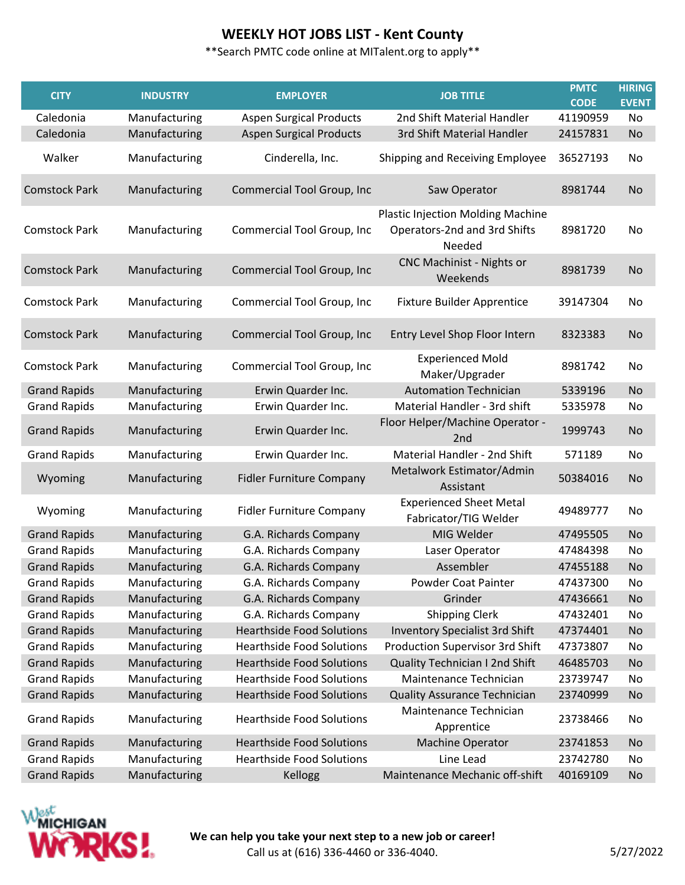\*\*Search PMTC code online at MITalent.org to apply\*\*

| <b>CITY</b>          | <b>INDUSTRY</b> | <b>EMPLOYER</b>                   | <b>JOB TITLE</b>                                                                   | <b>PMTC</b><br><b>CODE</b> | <b>HIRING</b><br><b>EVENT</b> |
|----------------------|-----------------|-----------------------------------|------------------------------------------------------------------------------------|----------------------------|-------------------------------|
| Caledonia            | Manufacturing   | <b>Aspen Surgical Products</b>    | 2nd Shift Material Handler                                                         | 41190959                   | No                            |
| Caledonia            | Manufacturing   | <b>Aspen Surgical Products</b>    | 3rd Shift Material Handler                                                         | 24157831                   | <b>No</b>                     |
| Walker               | Manufacturing   | Cinderella, Inc.                  | Shipping and Receiving Employee                                                    | 36527193                   | No                            |
| <b>Comstock Park</b> | Manufacturing   | <b>Commercial Tool Group, Inc</b> | Saw Operator                                                                       | 8981744                    | <b>No</b>                     |
| <b>Comstock Park</b> | Manufacturing   | Commercial Tool Group, Inc        | <b>Plastic Injection Molding Machine</b><br>Operators-2nd and 3rd Shifts<br>Needed | 8981720                    | No                            |
| <b>Comstock Park</b> | Manufacturing   | Commercial Tool Group, Inc        | <b>CNC Machinist - Nights or</b><br>Weekends                                       | 8981739                    | <b>No</b>                     |
| <b>Comstock Park</b> | Manufacturing   | Commercial Tool Group, Inc        | <b>Fixture Builder Apprentice</b>                                                  | 39147304                   | No                            |
| <b>Comstock Park</b> | Manufacturing   | Commercial Tool Group, Inc        | Entry Level Shop Floor Intern                                                      | 8323383                    | No                            |
| <b>Comstock Park</b> | Manufacturing   | Commercial Tool Group, Inc        | <b>Experienced Mold</b><br>Maker/Upgrader                                          | 8981742                    | No                            |
| <b>Grand Rapids</b>  | Manufacturing   | Erwin Quarder Inc.                | <b>Automation Technician</b>                                                       | 5339196                    | <b>No</b>                     |
| <b>Grand Rapids</b>  | Manufacturing   | Erwin Quarder Inc.                | Material Handler - 3rd shift                                                       | 5335978                    | No                            |
| <b>Grand Rapids</b>  | Manufacturing   | Erwin Quarder Inc.                | Floor Helper/Machine Operator -<br>2 <sub>nd</sub>                                 | 1999743                    | <b>No</b>                     |
| <b>Grand Rapids</b>  | Manufacturing   | Erwin Quarder Inc.                | Material Handler - 2nd Shift                                                       | 571189                     | No                            |
| Wyoming              | Manufacturing   | <b>Fidler Furniture Company</b>   | Metalwork Estimator/Admin<br>Assistant                                             | 50384016                   | No                            |
| Wyoming              | Manufacturing   | <b>Fidler Furniture Company</b>   | <b>Experienced Sheet Metal</b><br>Fabricator/TIG Welder                            | 49489777                   | No                            |
| <b>Grand Rapids</b>  | Manufacturing   | G.A. Richards Company             | MIG Welder                                                                         | 47495505                   | <b>No</b>                     |
| <b>Grand Rapids</b>  | Manufacturing   | G.A. Richards Company             | Laser Operator                                                                     | 47484398                   | No                            |
| <b>Grand Rapids</b>  | Manufacturing   | G.A. Richards Company             | Assembler                                                                          | 47455188                   | No                            |
| <b>Grand Rapids</b>  | Manufacturing   | G.A. Richards Company             | Powder Coat Painter                                                                | 47437300                   | No                            |
| <b>Grand Rapids</b>  | Manufacturing   | G.A. Richards Company             | Grinder                                                                            | 47436661                   | <b>No</b>                     |
| <b>Grand Rapids</b>  | Manufacturing   | G.A. Richards Company             | <b>Shipping Clerk</b>                                                              | 47432401                   | No                            |
| <b>Grand Rapids</b>  | Manufacturing   | <b>Hearthside Food Solutions</b>  | <b>Inventory Specialist 3rd Shift</b>                                              | 47374401                   | No                            |
| <b>Grand Rapids</b>  | Manufacturing   | <b>Hearthside Food Solutions</b>  | Production Supervisor 3rd Shift                                                    | 47373807                   | No                            |
| <b>Grand Rapids</b>  | Manufacturing   | <b>Hearthside Food Solutions</b>  | Quality Technician I 2nd Shift                                                     | 46485703                   | <b>No</b>                     |
| <b>Grand Rapids</b>  | Manufacturing   | <b>Hearthside Food Solutions</b>  | Maintenance Technician                                                             | 23739747                   | No                            |
| <b>Grand Rapids</b>  | Manufacturing   | <b>Hearthside Food Solutions</b>  | Quality Assurance Technician                                                       | 23740999                   | <b>No</b>                     |
| <b>Grand Rapids</b>  | Manufacturing   | <b>Hearthside Food Solutions</b>  | Maintenance Technician<br>Apprentice                                               | 23738466                   | No                            |
| <b>Grand Rapids</b>  | Manufacturing   | <b>Hearthside Food Solutions</b>  | <b>Machine Operator</b>                                                            | 23741853                   | <b>No</b>                     |
| <b>Grand Rapids</b>  | Manufacturing   | <b>Hearthside Food Solutions</b>  | Line Lead                                                                          | 23742780                   | No                            |
| <b>Grand Rapids</b>  | Manufacturing   | Kellogg                           | Maintenance Mechanic off-shift                                                     | 40169109                   | <b>No</b>                     |

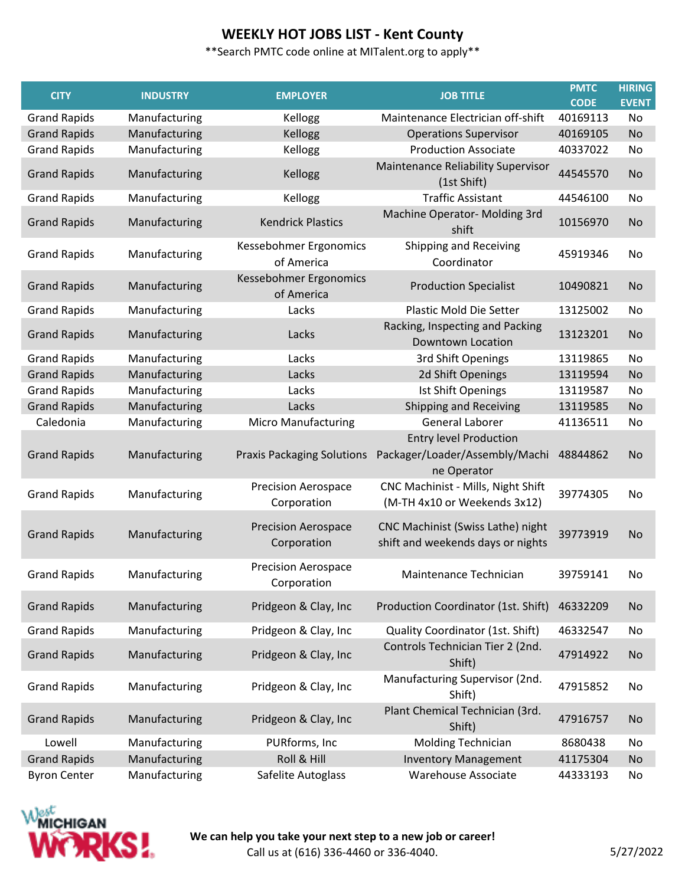\*\*Search PMTC code online at MITalent.org to apply\*\*

| <b>CITY</b>         | <b>INDUSTRY</b> | <b>EMPLOYER</b>                           | <b>JOB TITLE</b>                                                               | <b>PMTC</b><br><b>CODE</b> | <b>HIRING</b><br><b>EVENT</b> |
|---------------------|-----------------|-------------------------------------------|--------------------------------------------------------------------------------|----------------------------|-------------------------------|
| <b>Grand Rapids</b> | Manufacturing   | Kellogg                                   | Maintenance Electrician off-shift                                              | 40169113                   | No                            |
| <b>Grand Rapids</b> | Manufacturing   | Kellogg                                   | <b>Operations Supervisor</b>                                                   | 40169105                   | No                            |
| <b>Grand Rapids</b> | Manufacturing   | Kellogg                                   | <b>Production Associate</b>                                                    | 40337022                   | No                            |
| <b>Grand Rapids</b> | Manufacturing   | Kellogg                                   | Maintenance Reliability Supervisor<br>(1st Shift)                              | 44545570                   | <b>No</b>                     |
| <b>Grand Rapids</b> | Manufacturing   | Kellogg                                   | <b>Traffic Assistant</b>                                                       | 44546100                   | No                            |
| <b>Grand Rapids</b> | Manufacturing   | <b>Kendrick Plastics</b>                  | Machine Operator- Molding 3rd<br>shift                                         | 10156970                   | <b>No</b>                     |
| <b>Grand Rapids</b> | Manufacturing   | Kessebohmer Ergonomics<br>of America      | Shipping and Receiving<br>Coordinator                                          | 45919346                   | No                            |
| <b>Grand Rapids</b> | Manufacturing   | Kessebohmer Ergonomics<br>of America      | <b>Production Specialist</b>                                                   | 10490821                   | <b>No</b>                     |
| <b>Grand Rapids</b> | Manufacturing   | Lacks                                     | <b>Plastic Mold Die Setter</b>                                                 | 13125002                   | No                            |
| <b>Grand Rapids</b> | Manufacturing   | Lacks                                     | Racking, Inspecting and Packing<br><b>Downtown Location</b>                    | 13123201                   | <b>No</b>                     |
| <b>Grand Rapids</b> | Manufacturing   | Lacks                                     | 3rd Shift Openings                                                             | 13119865                   | No                            |
| <b>Grand Rapids</b> | Manufacturing   | Lacks                                     | 2d Shift Openings                                                              | 13119594                   | No                            |
| <b>Grand Rapids</b> | Manufacturing   | Lacks                                     | Ist Shift Openings                                                             | 13119587                   | No                            |
| <b>Grand Rapids</b> | Manufacturing   | Lacks                                     | Shipping and Receiving                                                         | 13119585                   | No                            |
| Caledonia           | Manufacturing   | <b>Micro Manufacturing</b>                | <b>General Laborer</b>                                                         | 41136511                   | No                            |
| <b>Grand Rapids</b> | Manufacturing   | <b>Praxis Packaging Solutions</b>         | <b>Entry level Production</b><br>Packager/Loader/Assembly/Machi<br>ne Operator | 48844862                   | <b>No</b>                     |
| <b>Grand Rapids</b> | Manufacturing   | <b>Precision Aerospace</b><br>Corporation | CNC Machinist - Mills, Night Shift<br>(M-TH 4x10 or Weekends 3x12)             | 39774305                   | No                            |
| <b>Grand Rapids</b> | Manufacturing   | <b>Precision Aerospace</b><br>Corporation | CNC Machinist (Swiss Lathe) night<br>shift and weekends days or nights         | 39773919                   | <b>No</b>                     |
| <b>Grand Rapids</b> | Manufacturing   | <b>Precision Aerospace</b><br>Corporation | Maintenance Technician                                                         | 39759141                   | No                            |
| <b>Grand Rapids</b> | Manufacturing   | Pridgeon & Clay, Inc                      | Production Coordinator (1st. Shift)                                            | 46332209                   | No                            |
| <b>Grand Rapids</b> | Manufacturing   | Pridgeon & Clay, Inc                      | Quality Coordinator (1st. Shift)                                               | 46332547                   | No                            |
| <b>Grand Rapids</b> | Manufacturing   | Pridgeon & Clay, Inc                      | Controls Technician Tier 2 (2nd.<br>Shift)                                     | 47914922                   | <b>No</b>                     |
| <b>Grand Rapids</b> | Manufacturing   | Pridgeon & Clay, Inc                      | Manufacturing Supervisor (2nd.<br>Shift)                                       | 47915852                   | No                            |
| <b>Grand Rapids</b> | Manufacturing   | Pridgeon & Clay, Inc                      | Plant Chemical Technician (3rd.<br>Shift)                                      | 47916757                   | No                            |
| Lowell              | Manufacturing   | PURforms, Inc                             | Molding Technician                                                             | 8680438                    | No                            |
| <b>Grand Rapids</b> | Manufacturing   | Roll & Hill                               | <b>Inventory Management</b>                                                    | 41175304                   | No                            |
| <b>Byron Center</b> | Manufacturing   | Safelite Autoglass                        | Warehouse Associate                                                            | 44333193                   | No                            |

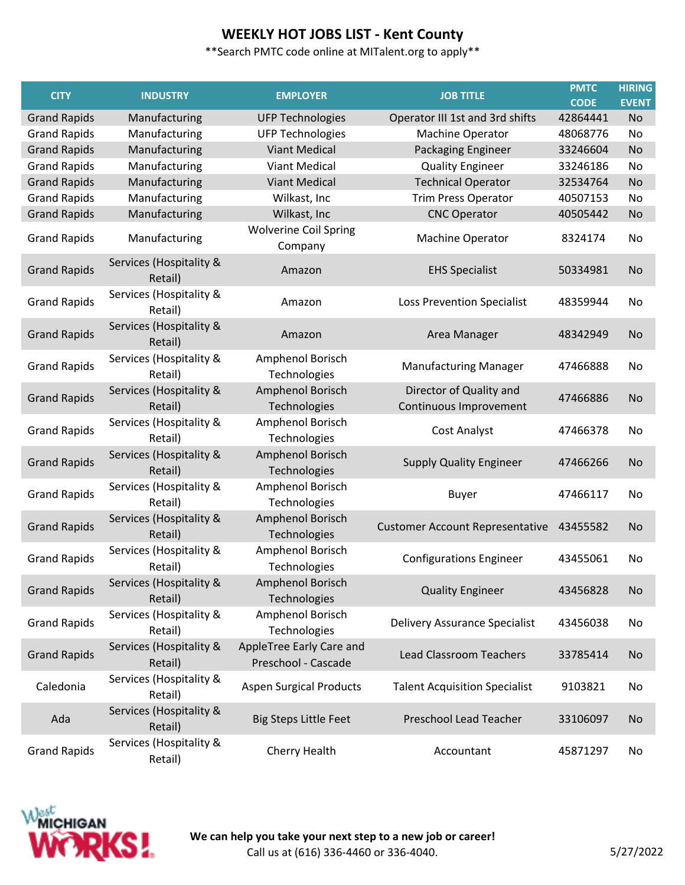\*\*Search PMTC code online at MITalent.org to apply\*\*

| <b>CITY</b>         | <b>INDUSTRY</b>                    | <b>EMPLOYER</b>                                 | <b>JOB TITLE</b>                                  | <b>PMTC</b><br><b>CODE</b> | <b>HIRING</b><br><b>EVENT</b> |
|---------------------|------------------------------------|-------------------------------------------------|---------------------------------------------------|----------------------------|-------------------------------|
| <b>Grand Rapids</b> | Manufacturing                      | <b>UFP Technologies</b>                         | Operator III 1st and 3rd shifts                   | 42864441                   | <b>No</b>                     |
| <b>Grand Rapids</b> | Manufacturing                      | <b>UFP Technologies</b>                         | Machine Operator                                  | 48068776                   | No                            |
| <b>Grand Rapids</b> | Manufacturing                      | <b>Viant Medical</b>                            | Packaging Engineer                                | 33246604                   | <b>No</b>                     |
| <b>Grand Rapids</b> | Manufacturing                      | <b>Viant Medical</b>                            | <b>Quality Engineer</b>                           | 33246186                   | No                            |
| <b>Grand Rapids</b> | Manufacturing                      | <b>Viant Medical</b>                            | <b>Technical Operator</b>                         | 32534764                   | <b>No</b>                     |
| <b>Grand Rapids</b> | Manufacturing                      | Wilkast, Inc                                    | <b>Trim Press Operator</b>                        | 40507153                   | No                            |
| <b>Grand Rapids</b> | Manufacturing                      | Wilkast, Inc                                    | <b>CNC Operator</b>                               | 40505442                   | No                            |
| <b>Grand Rapids</b> | Manufacturing                      | <b>Wolverine Coil Spring</b><br>Company         | Machine Operator                                  | 8324174                    | No                            |
| <b>Grand Rapids</b> | Services (Hospitality &<br>Retail) | Amazon                                          | <b>EHS Specialist</b>                             | 50334981                   | <b>No</b>                     |
| <b>Grand Rapids</b> | Services (Hospitality &<br>Retail) | Amazon                                          | Loss Prevention Specialist                        | 48359944                   | No                            |
| <b>Grand Rapids</b> | Services (Hospitality &<br>Retail) | Amazon                                          | Area Manager                                      | 48342949                   | No                            |
| <b>Grand Rapids</b> | Services (Hospitality &<br>Retail) | Amphenol Borisch<br>Technologies                | <b>Manufacturing Manager</b>                      | 47466888                   | No                            |
| <b>Grand Rapids</b> | Services (Hospitality &<br>Retail) | Amphenol Borisch<br>Technologies                | Director of Quality and<br>Continuous Improvement | 47466886                   | No                            |
| <b>Grand Rapids</b> | Services (Hospitality &<br>Retail) | Amphenol Borisch<br>Technologies                | Cost Analyst                                      | 47466378                   | No                            |
| <b>Grand Rapids</b> | Services (Hospitality &<br>Retail) | Amphenol Borisch<br>Technologies                | <b>Supply Quality Engineer</b>                    | 47466266                   | No                            |
| <b>Grand Rapids</b> | Services (Hospitality &<br>Retail) | Amphenol Borisch<br>Technologies                | <b>Buyer</b>                                      | 47466117                   | No                            |
| <b>Grand Rapids</b> | Services (Hospitality &<br>Retail) | Amphenol Borisch<br>Technologies                | <b>Customer Account Representative</b>            | 43455582                   | <b>No</b>                     |
| <b>Grand Rapids</b> | Services (Hospitality &<br>Retail) | Amphenol Borisch<br>Technologies                | <b>Configurations Engineer</b>                    | 43455061                   | No                            |
| <b>Grand Rapids</b> | Services (Hospitality &<br>Retail) | Amphenol Borisch<br>Technologies                | <b>Quality Engineer</b>                           | 43456828                   | <b>No</b>                     |
| <b>Grand Rapids</b> | Services (Hospitality &<br>Retail) | Amphenol Borisch<br>Technologies                | <b>Delivery Assurance Specialist</b>              | 43456038                   | No                            |
| <b>Grand Rapids</b> | Services (Hospitality &<br>Retail) | AppleTree Early Care and<br>Preschool - Cascade | <b>Lead Classroom Teachers</b>                    | 33785414                   | No                            |
| Caledonia           | Services (Hospitality &<br>Retail) | <b>Aspen Surgical Products</b>                  | <b>Talent Acquisition Specialist</b>              | 9103821                    | No                            |
| Ada                 | Services (Hospitality &<br>Retail) | <b>Big Steps Little Feet</b>                    | Preschool Lead Teacher                            | 33106097                   | No                            |
| <b>Grand Rapids</b> | Services (Hospitality &<br>Retail) | Cherry Health                                   | Accountant                                        | 45871297                   | No                            |

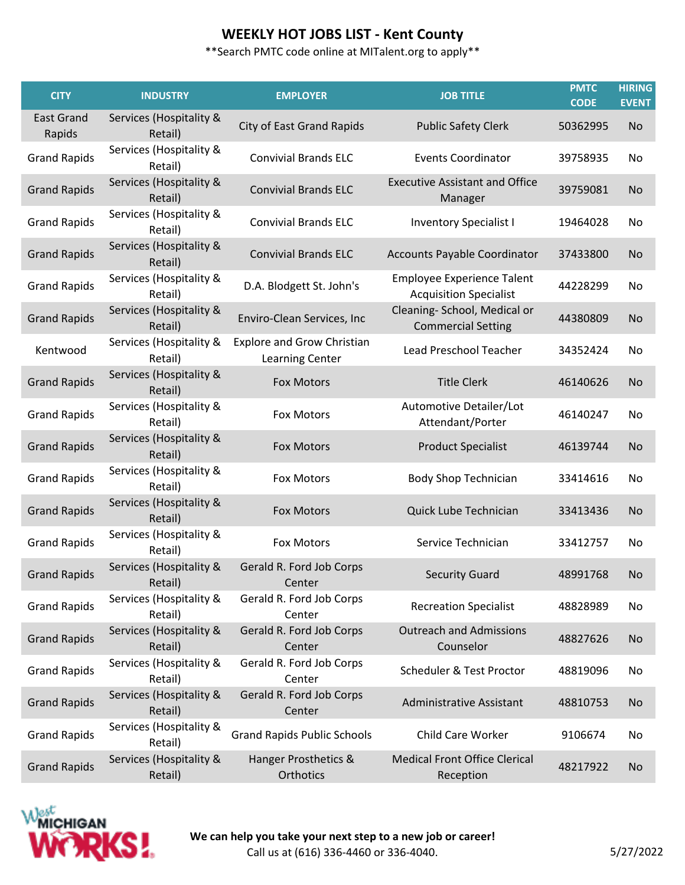| <b>CITY</b>                 | <b>INDUSTRY</b>                    | <b>EMPLOYER</b>                                      | <b>JOB TITLE</b>                                                   | <b>PMTC</b><br><b>CODE</b> | <b>HIRING</b><br><b>EVENT</b> |
|-----------------------------|------------------------------------|------------------------------------------------------|--------------------------------------------------------------------|----------------------------|-------------------------------|
| <b>East Grand</b><br>Rapids | Services (Hospitality &<br>Retail) | <b>City of East Grand Rapids</b>                     | <b>Public Safety Clerk</b>                                         | 50362995                   | <b>No</b>                     |
| <b>Grand Rapids</b>         | Services (Hospitality &<br>Retail) | <b>Convivial Brands ELC</b>                          | <b>Events Coordinator</b>                                          | 39758935                   | No                            |
| <b>Grand Rapids</b>         | Services (Hospitality &<br>Retail) | <b>Convivial Brands ELC</b>                          | <b>Executive Assistant and Office</b><br>Manager                   | 39759081                   | No                            |
| <b>Grand Rapids</b>         | Services (Hospitality &<br>Retail) | <b>Convivial Brands ELC</b>                          | <b>Inventory Specialist I</b>                                      | 19464028                   | No.                           |
| <b>Grand Rapids</b>         | Services (Hospitality &<br>Retail) | <b>Convivial Brands ELC</b>                          | Accounts Payable Coordinator                                       | 37433800                   | No                            |
| <b>Grand Rapids</b>         | Services (Hospitality &<br>Retail) | D.A. Blodgett St. John's                             | <b>Employee Experience Talent</b><br><b>Acquisition Specialist</b> | 44228299                   | No                            |
| <b>Grand Rapids</b>         | Services (Hospitality &<br>Retail) | Enviro-Clean Services, Inc                           | Cleaning- School, Medical or<br><b>Commercial Setting</b>          | 44380809                   | No                            |
| Kentwood                    | Services (Hospitality &<br>Retail) | <b>Explore and Grow Christian</b><br>Learning Center | Lead Preschool Teacher                                             | 34352424                   | No.                           |
| <b>Grand Rapids</b>         | Services (Hospitality &<br>Retail) | <b>Fox Motors</b>                                    | <b>Title Clerk</b>                                                 | 46140626                   | No                            |
| <b>Grand Rapids</b>         | Services (Hospitality &<br>Retail) | <b>Fox Motors</b>                                    | Automotive Detailer/Lot<br>Attendant/Porter                        | 46140247                   | No                            |
| <b>Grand Rapids</b>         | Services (Hospitality &<br>Retail) | <b>Fox Motors</b>                                    | <b>Product Specialist</b>                                          | 46139744                   | <b>No</b>                     |
| <b>Grand Rapids</b>         | Services (Hospitality &<br>Retail) | <b>Fox Motors</b>                                    | <b>Body Shop Technician</b>                                        | 33414616                   | No.                           |
| <b>Grand Rapids</b>         | Services (Hospitality &<br>Retail) | <b>Fox Motors</b>                                    | Quick Lube Technician                                              | 33413436                   | No                            |
| <b>Grand Rapids</b>         | Services (Hospitality &<br>Retail) | Fox Motors                                           | Service Technician                                                 | 33412757                   | No.                           |
| <b>Grand Rapids</b>         | Services (Hospitality &<br>Retail) | Gerald R. Ford Job Corps<br>Center                   | <b>Security Guard</b>                                              | 48991768                   | No.                           |
| <b>Grand Rapids</b>         | Services (Hospitality &<br>Retail) | Gerald R. Ford Job Corps<br>Center                   | <b>Recreation Specialist</b>                                       | 48828989                   | No                            |
| <b>Grand Rapids</b>         | Services (Hospitality &<br>Retail) | Gerald R. Ford Job Corps<br>Center                   | <b>Outreach and Admissions</b><br>Counselor                        | 48827626                   | No                            |
| <b>Grand Rapids</b>         | Services (Hospitality &<br>Retail) | Gerald R. Ford Job Corps<br>Center                   | Scheduler & Test Proctor                                           | 48819096                   | No                            |
| <b>Grand Rapids</b>         | Services (Hospitality &<br>Retail) | Gerald R. Ford Job Corps<br>Center                   | <b>Administrative Assistant</b>                                    | 48810753                   | No                            |
| <b>Grand Rapids</b>         | Services (Hospitality &<br>Retail) | <b>Grand Rapids Public Schools</b>                   | Child Care Worker                                                  | 9106674                    | No                            |
| <b>Grand Rapids</b>         | Services (Hospitality &<br>Retail) | Hanger Prosthetics &<br>Orthotics                    | <b>Medical Front Office Clerical</b><br>Reception                  | 48217922                   | No.                           |



**We can help you take your next step to a new job or career!** Call us at (616) 336-4460 or 336-4040. 5/27/2022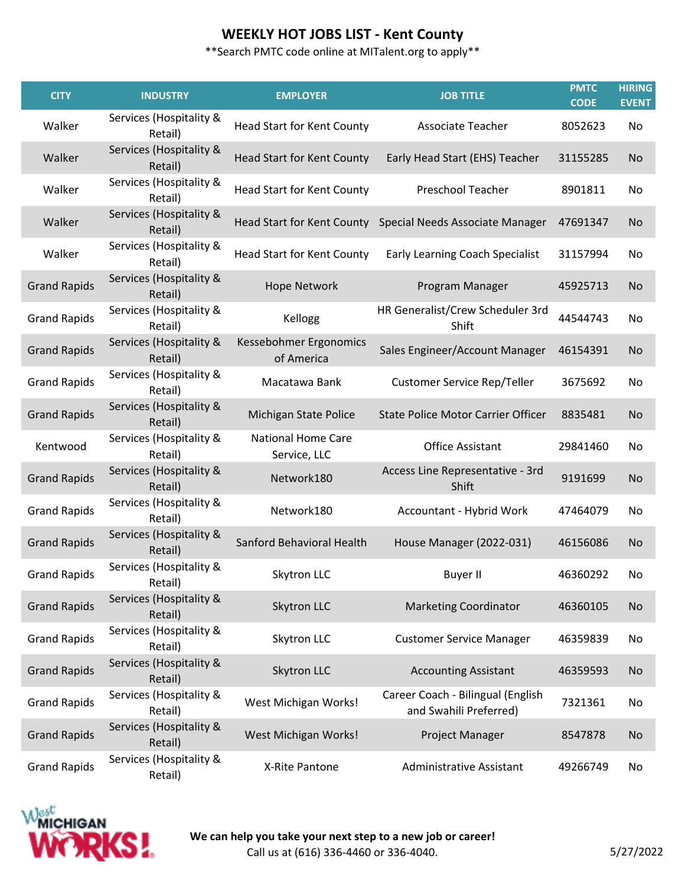| <b>CITY</b>         | <b>INDUSTRY</b>                    | <b>EMPLOYER</b>                           | <b>JOB TITLE</b>                                            | <b>PMTC</b><br><b>CODE</b> | <b>HIRING</b><br><b>EVENT</b> |
|---------------------|------------------------------------|-------------------------------------------|-------------------------------------------------------------|----------------------------|-------------------------------|
| Walker              | Services (Hospitality &<br>Retail) | <b>Head Start for Kent County</b>         | Associate Teacher                                           | 8052623                    | No                            |
| Walker              | Services (Hospitality &<br>Retail) | <b>Head Start for Kent County</b>         | Early Head Start (EHS) Teacher                              | 31155285                   | No                            |
| Walker              | Services (Hospitality &<br>Retail) | <b>Head Start for Kent County</b>         | Preschool Teacher                                           | 8901811                    | No                            |
| Walker              | Services (Hospitality &<br>Retail) |                                           | Head Start for Kent County Special Needs Associate Manager  | 47691347                   | <b>No</b>                     |
| Walker              | Services (Hospitality &<br>Retail) | <b>Head Start for Kent County</b>         | Early Learning Coach Specialist                             | 31157994                   | No                            |
| <b>Grand Rapids</b> | Services (Hospitality &<br>Retail) | <b>Hope Network</b>                       | Program Manager                                             | 45925713                   | No                            |
| <b>Grand Rapids</b> | Services (Hospitality &<br>Retail) | Kellogg                                   | HR Generalist/Crew Scheduler 3rd<br>Shift                   | 44544743                   | No                            |
| <b>Grand Rapids</b> | Services (Hospitality &<br>Retail) | Kessebohmer Ergonomics<br>of America      | Sales Engineer/Account Manager                              | 46154391                   | No                            |
| <b>Grand Rapids</b> | Services (Hospitality &<br>Retail) | Macatawa Bank                             | Customer Service Rep/Teller                                 | 3675692                    | No                            |
| <b>Grand Rapids</b> | Services (Hospitality &<br>Retail) | Michigan State Police                     | <b>State Police Motor Carrier Officer</b>                   | 8835481                    | <b>No</b>                     |
| Kentwood            | Services (Hospitality &<br>Retail) | <b>National Home Care</b><br>Service, LLC | <b>Office Assistant</b>                                     | 29841460                   | No                            |
| <b>Grand Rapids</b> | Services (Hospitality &<br>Retail) | Network180                                | Access Line Representative - 3rd<br>Shift                   | 9191699                    | No                            |
| <b>Grand Rapids</b> | Services (Hospitality &<br>Retail) | Network180                                | Accountant - Hybrid Work                                    | 47464079                   | No                            |
| <b>Grand Rapids</b> | Services (Hospitality &<br>Retail) | Sanford Behavioral Health                 | House Manager (2022-031)                                    | 46156086                   | No                            |
| <b>Grand Rapids</b> | Services (Hospitality &<br>Retail) | Skytron LLC                               | Buyer II                                                    | 46360292                   | No.                           |
| <b>Grand Rapids</b> | Services (Hospitality &<br>Retail) | Skytron LLC                               | <b>Marketing Coordinator</b>                                | 46360105                   | No                            |
| <b>Grand Rapids</b> | Services (Hospitality &<br>Retail) | Skytron LLC                               | <b>Customer Service Manager</b>                             | 46359839                   | No                            |
| <b>Grand Rapids</b> | Services (Hospitality &<br>Retail) | Skytron LLC                               | <b>Accounting Assistant</b>                                 | 46359593                   | No                            |
| <b>Grand Rapids</b> | Services (Hospitality &<br>Retail) | West Michigan Works!                      | Career Coach - Bilingual (English<br>and Swahili Preferred) | 7321361                    | No                            |
| <b>Grand Rapids</b> | Services (Hospitality &<br>Retail) | West Michigan Works!                      | Project Manager                                             | 8547878                    | <b>No</b>                     |
| <b>Grand Rapids</b> | Services (Hospitality &<br>Retail) | X-Rite Pantone                            | <b>Administrative Assistant</b>                             | 49266749                   | No                            |

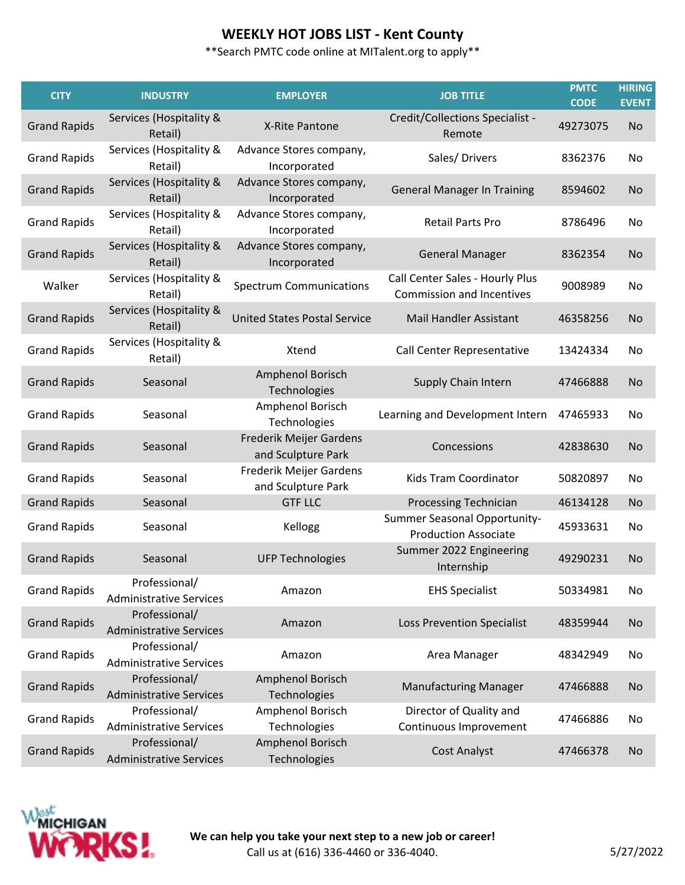| <b>CITY</b>         | <b>INDUSTRY</b>                                 | <b>EMPLOYER</b>                               | <b>JOB TITLE</b>                                                    | <b>PMTC</b><br><b>CODE</b> | <b>HIRING</b><br><b>EVENT</b> |
|---------------------|-------------------------------------------------|-----------------------------------------------|---------------------------------------------------------------------|----------------------------|-------------------------------|
| <b>Grand Rapids</b> | Services (Hospitality &<br>Retail)              | X-Rite Pantone                                | Credit/Collections Specialist -<br>Remote                           | 49273075                   | <b>No</b>                     |
| <b>Grand Rapids</b> | Services (Hospitality &<br>Retail)              | Advance Stores company,<br>Incorporated       | Sales/Drivers                                                       | 8362376                    | No                            |
| <b>Grand Rapids</b> | Services (Hospitality &<br>Retail)              | Advance Stores company,<br>Incorporated       | <b>General Manager In Training</b>                                  | 8594602                    | <b>No</b>                     |
| <b>Grand Rapids</b> | Services (Hospitality &<br>Retail)              | Advance Stores company,<br>Incorporated       | <b>Retail Parts Pro</b>                                             | 8786496                    | No.                           |
| <b>Grand Rapids</b> | Services (Hospitality &<br>Retail)              | Advance Stores company,<br>Incorporated       | <b>General Manager</b>                                              | 8362354                    | <b>No</b>                     |
| Walker              | Services (Hospitality &<br>Retail)              | <b>Spectrum Communications</b>                | Call Center Sales - Hourly Plus<br><b>Commission and Incentives</b> | 9008989                    | No                            |
| <b>Grand Rapids</b> | Services (Hospitality &<br>Retail)              | <b>United States Postal Service</b>           | <b>Mail Handler Assistant</b>                                       | 46358256                   | <b>No</b>                     |
| <b>Grand Rapids</b> | Services (Hospitality &<br>Retail)              | Xtend                                         | Call Center Representative                                          | 13424334                   | No                            |
| <b>Grand Rapids</b> | Seasonal                                        | Amphenol Borisch<br>Technologies              | Supply Chain Intern                                                 | 47466888                   | <b>No</b>                     |
| <b>Grand Rapids</b> | Seasonal                                        | Amphenol Borisch<br>Technologies              | Learning and Development Intern                                     | 47465933                   | No                            |
| <b>Grand Rapids</b> | Seasonal                                        | Frederik Meijer Gardens<br>and Sculpture Park | Concessions                                                         | 42838630                   | <b>No</b>                     |
| <b>Grand Rapids</b> | Seasonal                                        | Frederik Meijer Gardens<br>and Sculpture Park | Kids Tram Coordinator                                               | 50820897                   | No                            |
| <b>Grand Rapids</b> | Seasonal                                        | <b>GTF LLC</b>                                | Processing Technician                                               | 46134128                   | <b>No</b>                     |
| <b>Grand Rapids</b> | Seasonal                                        | Kellogg                                       | Summer Seasonal Opportunity-<br><b>Production Associate</b>         | 45933631                   | No                            |
| <b>Grand Rapids</b> | Seasonal                                        | <b>UFP Technologies</b>                       | Summer 2022 Engineering<br>Internship                               | 49290231                   | <b>No</b>                     |
| <b>Grand Rapids</b> | Professional/<br><b>Administrative Services</b> | Amazon                                        | <b>EHS Specialist</b>                                               | 50334981                   | No                            |
| <b>Grand Rapids</b> | Professional/<br><b>Administrative Services</b> | Amazon                                        | <b>Loss Prevention Specialist</b>                                   | 48359944                   | No                            |
| <b>Grand Rapids</b> | Professional/<br><b>Administrative Services</b> | Amazon                                        | Area Manager                                                        | 48342949                   | No                            |
| <b>Grand Rapids</b> | Professional/<br><b>Administrative Services</b> | Amphenol Borisch<br>Technologies              | <b>Manufacturing Manager</b>                                        | 47466888                   | No                            |
| <b>Grand Rapids</b> | Professional/<br><b>Administrative Services</b> | Amphenol Borisch<br>Technologies              | Director of Quality and<br>Continuous Improvement                   | 47466886                   | No                            |
| <b>Grand Rapids</b> | Professional/<br><b>Administrative Services</b> | Amphenol Borisch<br>Technologies              | <b>Cost Analyst</b>                                                 | 47466378                   | <b>No</b>                     |

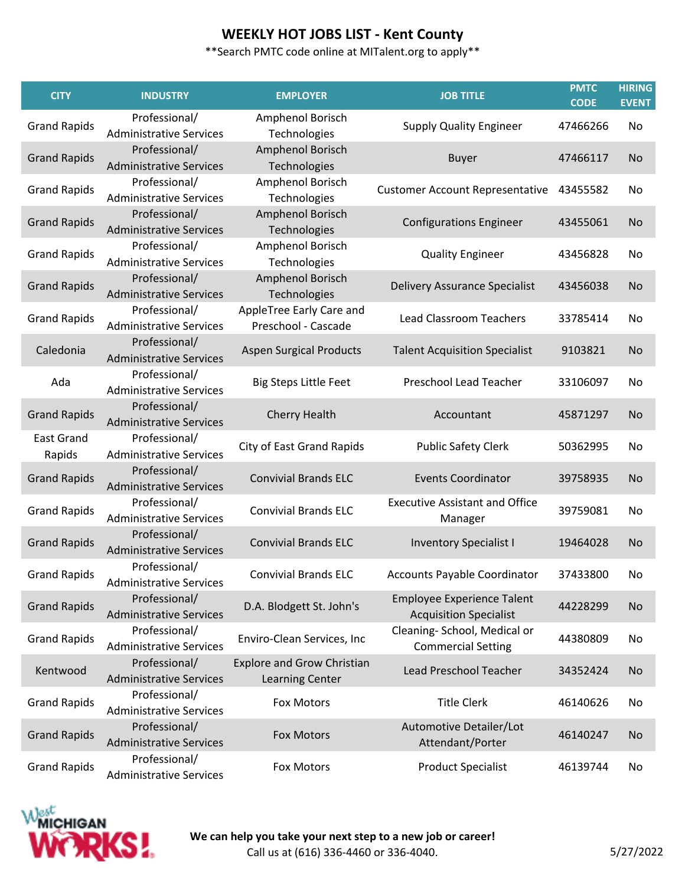| <b>CITY</b>                 | <b>INDUSTRY</b>                                 | <b>EMPLOYER</b>                                      | <b>JOB TITLE</b>                                                   | <b>PMTC</b><br><b>CODE</b> | <b>HIRING</b><br><b>EVENT</b> |
|-----------------------------|-------------------------------------------------|------------------------------------------------------|--------------------------------------------------------------------|----------------------------|-------------------------------|
| <b>Grand Rapids</b>         | Professional/<br><b>Administrative Services</b> | Amphenol Borisch<br>Technologies                     | <b>Supply Quality Engineer</b>                                     | 47466266                   | No                            |
| <b>Grand Rapids</b>         | Professional/<br><b>Administrative Services</b> | Amphenol Borisch<br>Technologies                     | <b>Buyer</b>                                                       | 47466117                   | <b>No</b>                     |
| <b>Grand Rapids</b>         | Professional/<br><b>Administrative Services</b> | Amphenol Borisch<br>Technologies                     | <b>Customer Account Representative</b>                             | 43455582                   | No                            |
| <b>Grand Rapids</b>         | Professional/<br><b>Administrative Services</b> | Amphenol Borisch<br>Technologies                     | <b>Configurations Engineer</b>                                     | 43455061                   | <b>No</b>                     |
| <b>Grand Rapids</b>         | Professional/<br><b>Administrative Services</b> | Amphenol Borisch<br>Technologies                     | <b>Quality Engineer</b>                                            | 43456828                   | No                            |
| <b>Grand Rapids</b>         | Professional/<br><b>Administrative Services</b> | Amphenol Borisch<br>Technologies                     | Delivery Assurance Specialist                                      | 43456038                   | <b>No</b>                     |
| <b>Grand Rapids</b>         | Professional/<br><b>Administrative Services</b> | AppleTree Early Care and<br>Preschool - Cascade      | <b>Lead Classroom Teachers</b>                                     | 33785414                   | No                            |
| Caledonia                   | Professional/<br><b>Administrative Services</b> | <b>Aspen Surgical Products</b>                       | <b>Talent Acquisition Specialist</b>                               | 9103821                    | <b>No</b>                     |
| Ada                         | Professional/<br><b>Administrative Services</b> | <b>Big Steps Little Feet</b>                         | Preschool Lead Teacher                                             | 33106097                   | No                            |
| <b>Grand Rapids</b>         | Professional/<br><b>Administrative Services</b> | <b>Cherry Health</b>                                 | Accountant                                                         | 45871297                   | <b>No</b>                     |
| <b>East Grand</b><br>Rapids | Professional/<br><b>Administrative Services</b> | <b>City of East Grand Rapids</b>                     | <b>Public Safety Clerk</b>                                         | 50362995                   | No                            |
| <b>Grand Rapids</b>         | Professional/<br><b>Administrative Services</b> | <b>Convivial Brands ELC</b>                          | <b>Events Coordinator</b>                                          | 39758935                   | <b>No</b>                     |
| <b>Grand Rapids</b>         | Professional/<br><b>Administrative Services</b> | <b>Convivial Brands ELC</b>                          | <b>Executive Assistant and Office</b><br>Manager                   | 39759081                   | No                            |
| <b>Grand Rapids</b>         | Professional/<br><b>Administrative Services</b> | <b>Convivial Brands ELC</b>                          | <b>Inventory Specialist I</b>                                      | 19464028                   | <b>No</b>                     |
| <b>Grand Rapids</b>         | Professional/<br><b>Administrative Services</b> | <b>Convivial Brands ELC</b>                          | Accounts Payable Coordinator                                       | 37433800                   | No.                           |
| <b>Grand Rapids</b>         | Professional/<br><b>Administrative Services</b> | D.A. Blodgett St. John's                             | <b>Employee Experience Talent</b><br><b>Acquisition Specialist</b> | 44228299                   | No                            |
| <b>Grand Rapids</b>         | Professional/<br><b>Administrative Services</b> | Enviro-Clean Services, Inc                           | Cleaning- School, Medical or<br><b>Commercial Setting</b>          | 44380809                   | No                            |
| Kentwood                    | Professional/<br><b>Administrative Services</b> | <b>Explore and Grow Christian</b><br>Learning Center | Lead Preschool Teacher                                             | 34352424                   | No                            |
| <b>Grand Rapids</b>         | Professional/<br><b>Administrative Services</b> | Fox Motors                                           | <b>Title Clerk</b>                                                 | 46140626                   | No                            |
| <b>Grand Rapids</b>         | Professional/<br><b>Administrative Services</b> | <b>Fox Motors</b>                                    | Automotive Detailer/Lot<br>Attendant/Porter                        | 46140247                   | <b>No</b>                     |
| <b>Grand Rapids</b>         | Professional/<br><b>Administrative Services</b> | Fox Motors                                           | <b>Product Specialist</b>                                          | 46139744                   | No                            |

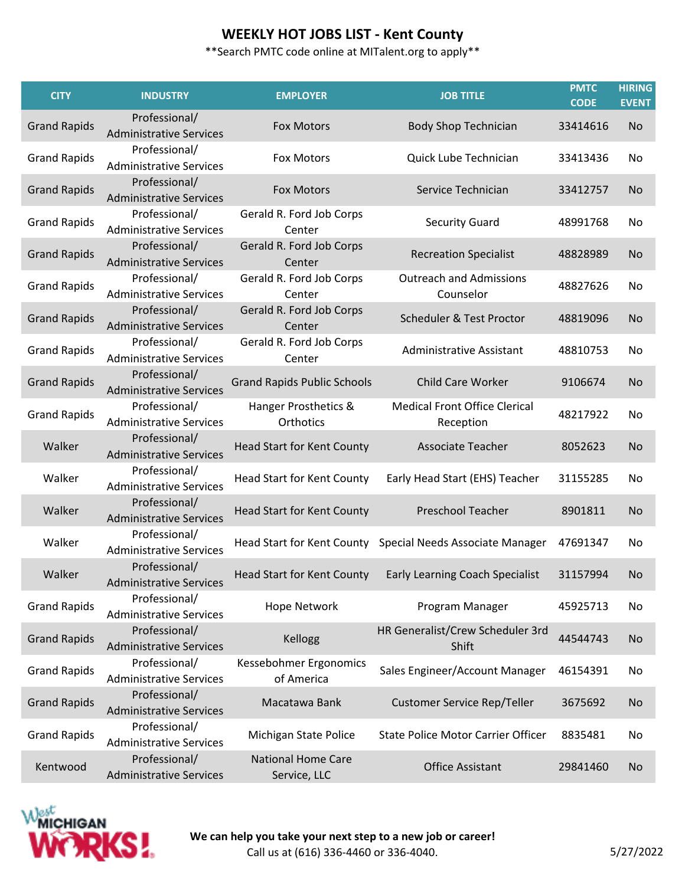| <b>CITY</b>         | <b>INDUSTRY</b>                                 | <b>EMPLOYER</b>                           | <b>JOB TITLE</b>                                           | <b>PMTC</b><br><b>CODE</b> | <b>HIRING</b><br><b>EVENT</b> |
|---------------------|-------------------------------------------------|-------------------------------------------|------------------------------------------------------------|----------------------------|-------------------------------|
| <b>Grand Rapids</b> | Professional/<br><b>Administrative Services</b> | <b>Fox Motors</b>                         | <b>Body Shop Technician</b>                                | 33414616                   | <b>No</b>                     |
| <b>Grand Rapids</b> | Professional/<br><b>Administrative Services</b> | <b>Fox Motors</b>                         | Quick Lube Technician                                      | 33413436                   | No                            |
| <b>Grand Rapids</b> | Professional/<br><b>Administrative Services</b> | <b>Fox Motors</b>                         | Service Technician                                         | 33412757                   | <b>No</b>                     |
| <b>Grand Rapids</b> | Professional/<br><b>Administrative Services</b> | Gerald R. Ford Job Corps<br>Center        | <b>Security Guard</b>                                      | 48991768                   | No                            |
| <b>Grand Rapids</b> | Professional/<br><b>Administrative Services</b> | Gerald R. Ford Job Corps<br>Center        | <b>Recreation Specialist</b>                               | 48828989                   | <b>No</b>                     |
| <b>Grand Rapids</b> | Professional/<br><b>Administrative Services</b> | Gerald R. Ford Job Corps<br>Center        | <b>Outreach and Admissions</b><br>Counselor                | 48827626                   | No                            |
| <b>Grand Rapids</b> | Professional/<br><b>Administrative Services</b> | Gerald R. Ford Job Corps<br>Center        | Scheduler & Test Proctor                                   | 48819096                   | <b>No</b>                     |
| <b>Grand Rapids</b> | Professional/<br><b>Administrative Services</b> | Gerald R. Ford Job Corps<br>Center        | <b>Administrative Assistant</b>                            | 48810753                   | No                            |
| <b>Grand Rapids</b> | Professional/<br><b>Administrative Services</b> | <b>Grand Rapids Public Schools</b>        | <b>Child Care Worker</b>                                   | 9106674                    | <b>No</b>                     |
| <b>Grand Rapids</b> | Professional/<br><b>Administrative Services</b> | Hanger Prosthetics &<br>Orthotics         | <b>Medical Front Office Clerical</b><br>Reception          | 48217922                   | No                            |
| Walker              | Professional/<br><b>Administrative Services</b> | <b>Head Start for Kent County</b>         | <b>Associate Teacher</b>                                   | 8052623                    | <b>No</b>                     |
| Walker              | Professional/<br><b>Administrative Services</b> | <b>Head Start for Kent County</b>         | Early Head Start (EHS) Teacher                             | 31155285                   | No                            |
| Walker              | Professional/<br><b>Administrative Services</b> | <b>Head Start for Kent County</b>         | Preschool Teacher                                          | 8901811                    | <b>No</b>                     |
| Walker              | Professional/<br><b>Administrative Services</b> |                                           | Head Start for Kent County Special Needs Associate Manager | 47691347                   | No                            |
| Walker              | Professional/<br><b>Administrative Services</b> | <b>Head Start for Kent County</b>         | <b>Early Learning Coach Specialist</b>                     | 31157994                   | No.                           |
| <b>Grand Rapids</b> | Professional/<br><b>Administrative Services</b> | <b>Hope Network</b>                       | Program Manager                                            | 45925713                   | No                            |
| <b>Grand Rapids</b> | Professional/<br><b>Administrative Services</b> | Kellogg                                   | HR Generalist/Crew Scheduler 3rd<br>Shift                  | 44544743                   | <b>No</b>                     |
| <b>Grand Rapids</b> | Professional/<br><b>Administrative Services</b> | Kessebohmer Ergonomics<br>of America      | Sales Engineer/Account Manager                             | 46154391                   | No                            |
| <b>Grand Rapids</b> | Professional/<br><b>Administrative Services</b> | Macatawa Bank                             | <b>Customer Service Rep/Teller</b>                         | 3675692                    | <b>No</b>                     |
| <b>Grand Rapids</b> | Professional/<br><b>Administrative Services</b> | Michigan State Police                     | <b>State Police Motor Carrier Officer</b>                  | 8835481                    | No                            |
| Kentwood            | Professional/<br><b>Administrative Services</b> | <b>National Home Care</b><br>Service, LLC | <b>Office Assistant</b>                                    | 29841460                   | <b>No</b>                     |

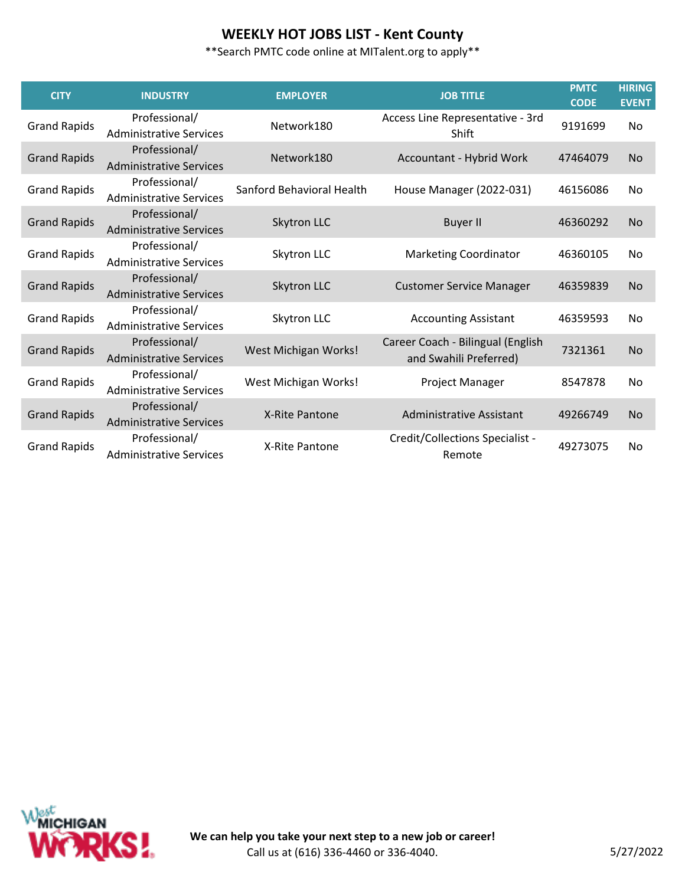\*\*Search PMTC code online at MITalent.org to apply\*\*

| <b>CITY</b>         | <b>INDUSTRY</b>                                 | <b>EMPLOYER</b>           | <b>JOB TITLE</b>                                            | <b>PMTC</b><br><b>CODE</b> | <b>HIRING</b><br><b>EVENT</b> |
|---------------------|-------------------------------------------------|---------------------------|-------------------------------------------------------------|----------------------------|-------------------------------|
| <b>Grand Rapids</b> | Professional/<br><b>Administrative Services</b> | Network180                | Access Line Representative - 3rd<br>Shift                   | 9191699                    | No                            |
| <b>Grand Rapids</b> | Professional/<br><b>Administrative Services</b> | Network180                | Accountant - Hybrid Work                                    | 47464079                   | <b>No</b>                     |
| <b>Grand Rapids</b> | Professional/<br><b>Administrative Services</b> | Sanford Behavioral Health | House Manager (2022-031)                                    | 46156086                   | No                            |
| <b>Grand Rapids</b> | Professional/<br><b>Administrative Services</b> | Skytron LLC               | <b>Buyer II</b>                                             | 46360292                   | <b>No</b>                     |
| <b>Grand Rapids</b> | Professional/<br><b>Administrative Services</b> | Skytron LLC               | <b>Marketing Coordinator</b>                                | 46360105                   | No                            |
| <b>Grand Rapids</b> | Professional/<br><b>Administrative Services</b> | Skytron LLC               | <b>Customer Service Manager</b>                             | 46359839                   | <b>No</b>                     |
| <b>Grand Rapids</b> | Professional/<br><b>Administrative Services</b> | Skytron LLC               | <b>Accounting Assistant</b>                                 | 46359593                   | No                            |
| <b>Grand Rapids</b> | Professional/<br><b>Administrative Services</b> | West Michigan Works!      | Career Coach - Bilingual (English<br>and Swahili Preferred) | 7321361                    | <b>No</b>                     |
| <b>Grand Rapids</b> | Professional/<br><b>Administrative Services</b> | West Michigan Works!      | Project Manager                                             | 8547878                    | No                            |
| <b>Grand Rapids</b> | Professional/<br><b>Administrative Services</b> | X-Rite Pantone            | Administrative Assistant                                    | 49266749                   | N <sub>0</sub>                |
| <b>Grand Rapids</b> | Professional/<br><b>Administrative Services</b> | X-Rite Pantone            | Credit/Collections Specialist -<br>Remote                   | 49273075                   | No                            |

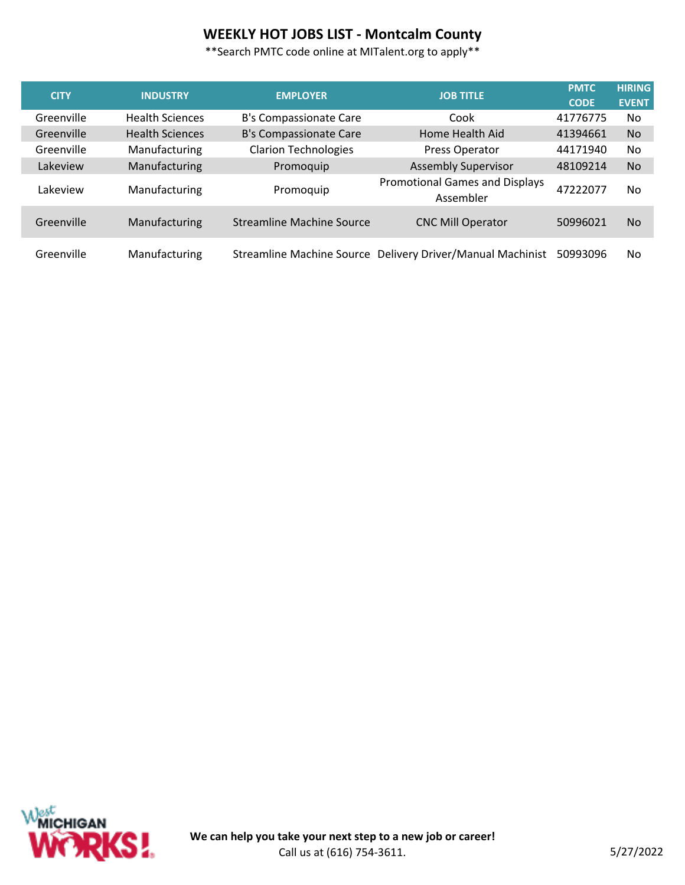# **WEEKLY HOT JOBS LIST - Montcalm County**

| <b>CITY</b> | <b>INDUSTRY</b>        | <b>EMPLOYER</b>                  | <b>JOB TITLE</b>                                           | <b>PMTC</b> | <b>HIRING</b>  |
|-------------|------------------------|----------------------------------|------------------------------------------------------------|-------------|----------------|
|             |                        |                                  |                                                            | <b>CODE</b> | <b>EVENT</b>   |
| Greenville  | <b>Health Sciences</b> | B's Compassionate Care           | Cook                                                       | 41776775    | No.            |
| Greenville  | <b>Health Sciences</b> | B's Compassionate Care           | Home Health Aid                                            | 41394661    | N <sub>o</sub> |
| Greenville  | Manufacturing          | <b>Clarion Technologies</b>      | Press Operator                                             | 44171940    | No.            |
| Lakeview    | Manufacturing          | Promoquip                        | <b>Assembly Supervisor</b>                                 | 48109214    | <b>No</b>      |
| Lakeview    | Manufacturing          | Promoquip                        | <b>Promotional Games and Displays</b><br>Assembler         | 47222077    | No.            |
| Greenville  | Manufacturing          | <b>Streamline Machine Source</b> | <b>CNC Mill Operator</b>                                   | 50996021    | No.            |
| Greenville  | Manufacturing          |                                  | Streamline Machine Source Delivery Driver/Manual Machinist | 50993096    | No.            |

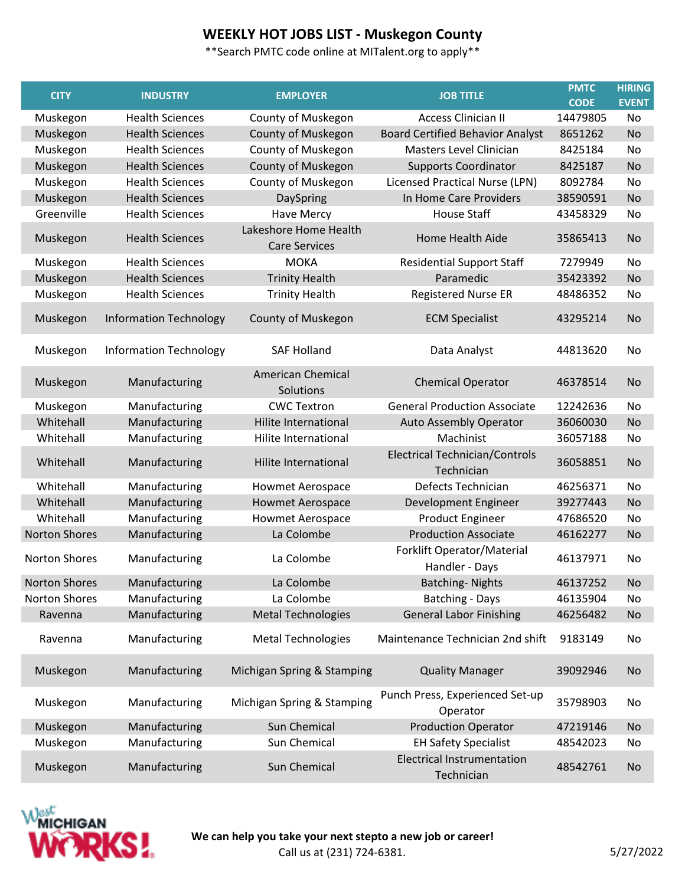# **WEEKLY HOT JOBS LIST - Muskegon County**

| <b>CITY</b>          | <b>INDUSTRY</b>               | <b>EMPLOYER</b>                               | <b>JOB TITLE</b>                                    | <b>PMTC</b> | <b>HIRING</b> |
|----------------------|-------------------------------|-----------------------------------------------|-----------------------------------------------------|-------------|---------------|
|                      |                               |                                               |                                                     | <b>CODE</b> | <b>EVENT</b>  |
| Muskegon             | <b>Health Sciences</b>        | County of Muskegon                            | <b>Access Clinician II</b>                          | 14479805    | No            |
| Muskegon             | <b>Health Sciences</b>        | County of Muskegon                            | <b>Board Certified Behavior Analyst</b>             | 8651262     | <b>No</b>     |
| Muskegon             | <b>Health Sciences</b>        | County of Muskegon                            | Masters Level Clinician                             | 8425184     | No            |
| Muskegon             | <b>Health Sciences</b>        | <b>County of Muskegon</b>                     | <b>Supports Coordinator</b>                         | 8425187     | <b>No</b>     |
| Muskegon             | <b>Health Sciences</b>        | County of Muskegon                            | <b>Licensed Practical Nurse (LPN)</b>               | 8092784     | No            |
| Muskegon             | <b>Health Sciences</b>        | DaySpring                                     | In Home Care Providers                              | 38590591    | <b>No</b>     |
| Greenville           | <b>Health Sciences</b>        | Have Mercy                                    | <b>House Staff</b>                                  | 43458329    | No            |
| Muskegon             | <b>Health Sciences</b>        | Lakeshore Home Health<br><b>Care Services</b> | <b>Home Health Aide</b>                             | 35865413    | No            |
| Muskegon             | <b>Health Sciences</b>        | <b>MOKA</b>                                   | <b>Residential Support Staff</b>                    | 7279949     | No            |
| Muskegon             | <b>Health Sciences</b>        | <b>Trinity Health</b>                         | Paramedic                                           | 35423392    | <b>No</b>     |
| Muskegon             | <b>Health Sciences</b>        | <b>Trinity Health</b>                         | <b>Registered Nurse ER</b>                          | 48486352    | No            |
| Muskegon             | <b>Information Technology</b> | County of Muskegon                            | <b>ECM Specialist</b>                               | 43295214    | No            |
| Muskegon             | <b>Information Technology</b> | <b>SAF Holland</b>                            | Data Analyst                                        | 44813620    | No            |
| Muskegon             | Manufacturing                 | <b>American Chemical</b><br>Solutions         | <b>Chemical Operator</b>                            | 46378514    | No            |
| Muskegon             | Manufacturing                 | <b>CWC Textron</b>                            | <b>General Production Associate</b>                 | 12242636    | No            |
| Whitehall            | Manufacturing                 | <b>Hilite International</b>                   | Auto Assembly Operator                              | 36060030    | No            |
| Whitehall            | Manufacturing                 | Hilite International                          | Machinist                                           | 36057188    | No            |
| Whitehall            | Manufacturing                 | Hilite International                          | <b>Electrical Technician/Controls</b><br>Technician | 36058851    | No            |
| Whitehall            | Manufacturing                 | <b>Howmet Aerospace</b>                       | Defects Technician                                  | 46256371    | No            |
| Whitehall            | Manufacturing                 | <b>Howmet Aerospace</b>                       | Development Engineer                                | 39277443    | No            |
| Whitehall            | Manufacturing                 | <b>Howmet Aerospace</b>                       | <b>Product Engineer</b>                             | 47686520    | No            |
| <b>Norton Shores</b> | Manufacturing                 | La Colombe                                    | <b>Production Associate</b>                         | 46162277    | No            |
| Norton Shores        | Manufacturing                 | La Colombe                                    | Forklift Operator/Material<br>Handler - Days        | 46137971    | No            |
| <b>Norton Shores</b> | Manufacturing                 | La Colombe                                    | <b>Batching-Nights</b>                              | 46137252    | No            |
| <b>Norton Shores</b> | Manufacturing                 | La Colombe                                    | <b>Batching - Days</b>                              | 46135904    | No            |
| Ravenna              | Manufacturing                 | <b>Metal Technologies</b>                     | <b>General Labor Finishing</b>                      | 46256482    | No            |
| Ravenna              | Manufacturing                 | <b>Metal Technologies</b>                     | Maintenance Technician 2nd shift                    | 9183149     | No            |
| Muskegon             | Manufacturing                 | Michigan Spring & Stamping                    | <b>Quality Manager</b>                              | 39092946    | No            |
| Muskegon             | Manufacturing                 | Michigan Spring & Stamping                    | Punch Press, Experienced Set-up<br>Operator         | 35798903    | No            |
| Muskegon             | Manufacturing                 | Sun Chemical                                  | <b>Production Operator</b>                          | 47219146    | No            |
| Muskegon             | Manufacturing                 | Sun Chemical                                  | <b>EH Safety Specialist</b>                         | 48542023    | No            |
| Muskegon             | Manufacturing                 | Sun Chemical                                  | <b>Electrical Instrumentation</b><br>Technician     | 48542761    | No            |

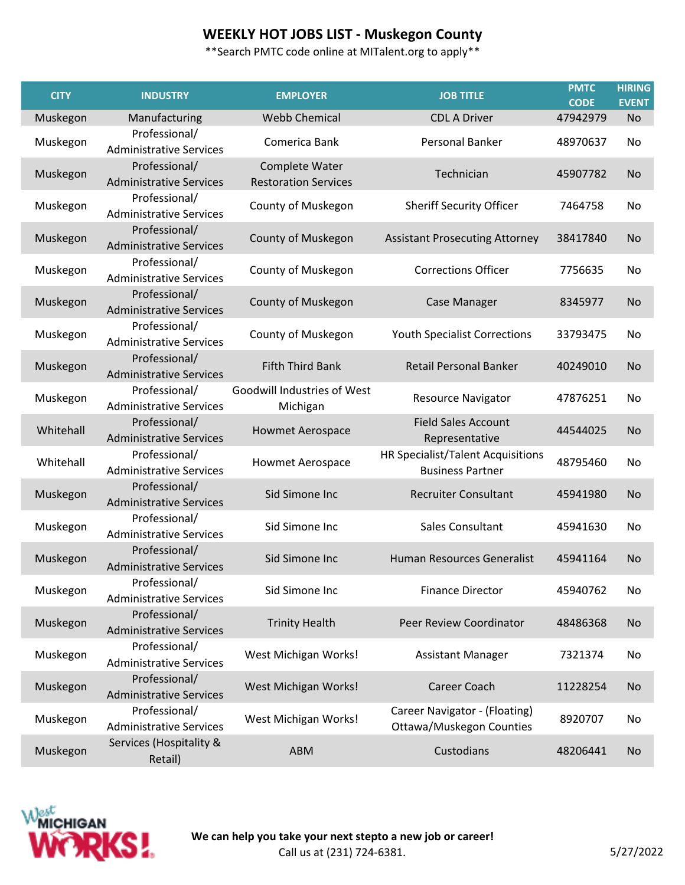## **WEEKLY HOT JOBS LIST - Muskegon County**

| <b>CITY</b> | <b>INDUSTRY</b>                                 | <b>EMPLOYER</b>                               | <b>JOB TITLE</b>                                                 | <b>PMTC</b><br><b>CODE</b> | <b>HIRING</b><br><b>EVENT</b> |
|-------------|-------------------------------------------------|-----------------------------------------------|------------------------------------------------------------------|----------------------------|-------------------------------|
| Muskegon    | Manufacturing                                   | <b>Webb Chemical</b>                          | <b>CDL A Driver</b>                                              | 47942979                   | <b>No</b>                     |
| Muskegon    | Professional/<br><b>Administrative Services</b> | Comerica Bank                                 | Personal Banker                                                  | 48970637                   | No                            |
| Muskegon    | Professional/<br><b>Administrative Services</b> | Complete Water<br><b>Restoration Services</b> | Technician                                                       | 45907782                   | <b>No</b>                     |
| Muskegon    | Professional/<br><b>Administrative Services</b> | County of Muskegon                            | <b>Sheriff Security Officer</b>                                  | 7464758                    | No                            |
| Muskegon    | Professional/<br><b>Administrative Services</b> | County of Muskegon                            | <b>Assistant Prosecuting Attorney</b>                            | 38417840                   | <b>No</b>                     |
| Muskegon    | Professional/<br><b>Administrative Services</b> | County of Muskegon                            | <b>Corrections Officer</b>                                       | 7756635                    | No                            |
| Muskegon    | Professional/<br><b>Administrative Services</b> | County of Muskegon                            | <b>Case Manager</b>                                              | 8345977                    | <b>No</b>                     |
| Muskegon    | Professional/<br><b>Administrative Services</b> | County of Muskegon                            | <b>Youth Specialist Corrections</b>                              | 33793475                   | No                            |
| Muskegon    | Professional/<br><b>Administrative Services</b> | <b>Fifth Third Bank</b>                       | <b>Retail Personal Banker</b>                                    | 40249010                   | <b>No</b>                     |
| Muskegon    | Professional/<br><b>Administrative Services</b> | Goodwill Industries of West<br>Michigan       | <b>Resource Navigator</b>                                        | 47876251                   | No                            |
| Whitehall   | Professional/<br><b>Administrative Services</b> | <b>Howmet Aerospace</b>                       | <b>Field Sales Account</b><br>Representative                     | 44544025                   | <b>No</b>                     |
| Whitehall   | Professional/<br><b>Administrative Services</b> | <b>Howmet Aerospace</b>                       | HR Specialist/Talent Acquisitions<br><b>Business Partner</b>     | 48795460                   | <b>No</b>                     |
| Muskegon    | Professional/<br><b>Administrative Services</b> | Sid Simone Inc                                | <b>Recruiter Consultant</b>                                      | 45941980                   | <b>No</b>                     |
| Muskegon    | Professional/<br><b>Administrative Services</b> | Sid Simone Inc                                | Sales Consultant                                                 | 45941630                   | No                            |
| Muskegon    | Professional/<br><b>Administrative Services</b> | Sid Simone Inc                                | <b>Human Resources Generalist</b>                                | 45941164                   | <b>No</b>                     |
| Muskegon    | Professional/<br><b>Administrative Services</b> | Sid Simone Inc                                | <b>Finance Director</b>                                          | 45940762                   | No                            |
| Muskegon    | Professional/<br><b>Administrative Services</b> | <b>Trinity Health</b>                         | Peer Review Coordinator                                          | 48486368                   | <b>No</b>                     |
| Muskegon    | Professional/<br><b>Administrative Services</b> | West Michigan Works!                          | <b>Assistant Manager</b>                                         | 7321374                    | No                            |
| Muskegon    | Professional/<br><b>Administrative Services</b> | West Michigan Works!                          | Career Coach                                                     | 11228254                   | No                            |
| Muskegon    | Professional/<br><b>Administrative Services</b> | West Michigan Works!                          | Career Navigator - (Floating)<br><b>Ottawa/Muskegon Counties</b> | 8920707                    | No                            |
| Muskegon    | Services (Hospitality &<br>Retail)              | ABM                                           | Custodians                                                       | 48206441                   | <b>No</b>                     |

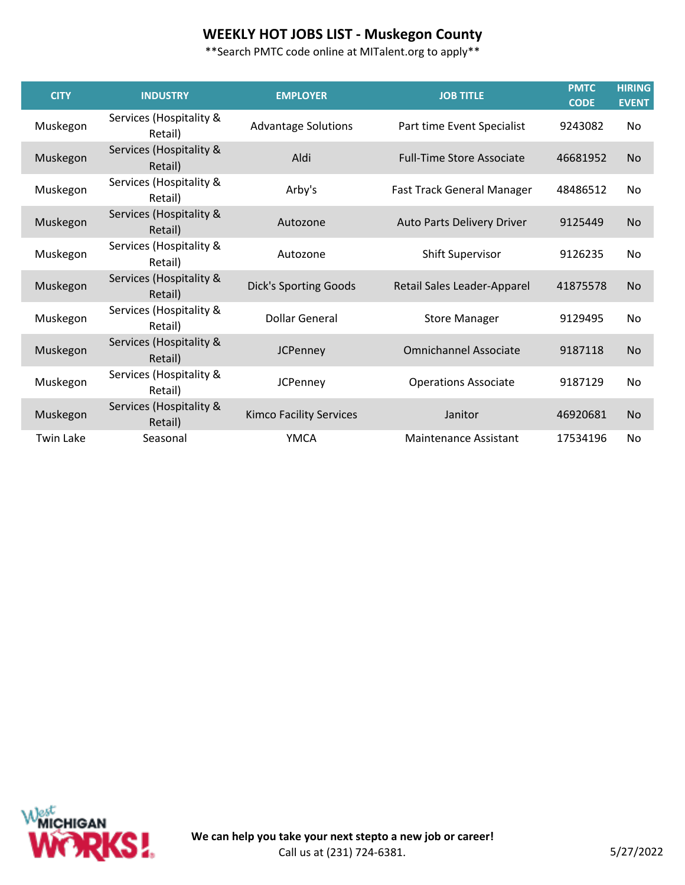# **WEEKLY HOT JOBS LIST - Muskegon County**

| <b>CITY</b>      | <b>INDUSTRY</b>                    | <b>EMPLOYER</b>                | <b>JOB TITLE</b>                 | <b>PMTC</b><br><b>CODE</b> | <b>HIRING</b><br><b>EVENT</b> |
|------------------|------------------------------------|--------------------------------|----------------------------------|----------------------------|-------------------------------|
| Muskegon         | Services (Hospitality &<br>Retail) | <b>Advantage Solutions</b>     | Part time Event Specialist       | 9243082                    | No.                           |
| Muskegon         | Services (Hospitality &<br>Retail) | Aldi                           | <b>Full-Time Store Associate</b> | 46681952                   | <b>No</b>                     |
| Muskegon         | Services (Hospitality &<br>Retail) | Arby's                         | Fast Track General Manager       | 48486512                   | No.                           |
| Muskegon         | Services (Hospitality &<br>Retail) | Autozone                       | Auto Parts Delivery Driver       | 9125449                    | <b>No</b>                     |
| Muskegon         | Services (Hospitality &<br>Retail) | Autozone                       | <b>Shift Supervisor</b>          | 9126235                    | No                            |
| Muskegon         | Services (Hospitality &<br>Retail) | <b>Dick's Sporting Goods</b>   | Retail Sales Leader-Apparel      | 41875578                   | <b>No</b>                     |
| Muskegon         | Services (Hospitality &<br>Retail) | <b>Dollar General</b>          | <b>Store Manager</b>             | 9129495                    | No.                           |
| Muskegon         | Services (Hospitality &<br>Retail) | <b>JCPenney</b>                | <b>Omnichannel Associate</b>     | 9187118                    | <b>No</b>                     |
| Muskegon         | Services (Hospitality &<br>Retail) | <b>JCPenney</b>                | <b>Operations Associate</b>      | 9187129                    | No.                           |
| Muskegon         | Services (Hospitality &<br>Retail) | <b>Kimco Facility Services</b> | Janitor                          | 46920681                   | <b>No</b>                     |
| <b>Twin Lake</b> | Seasonal                           | <b>YMCA</b>                    | Maintenance Assistant            | 17534196                   | No.                           |

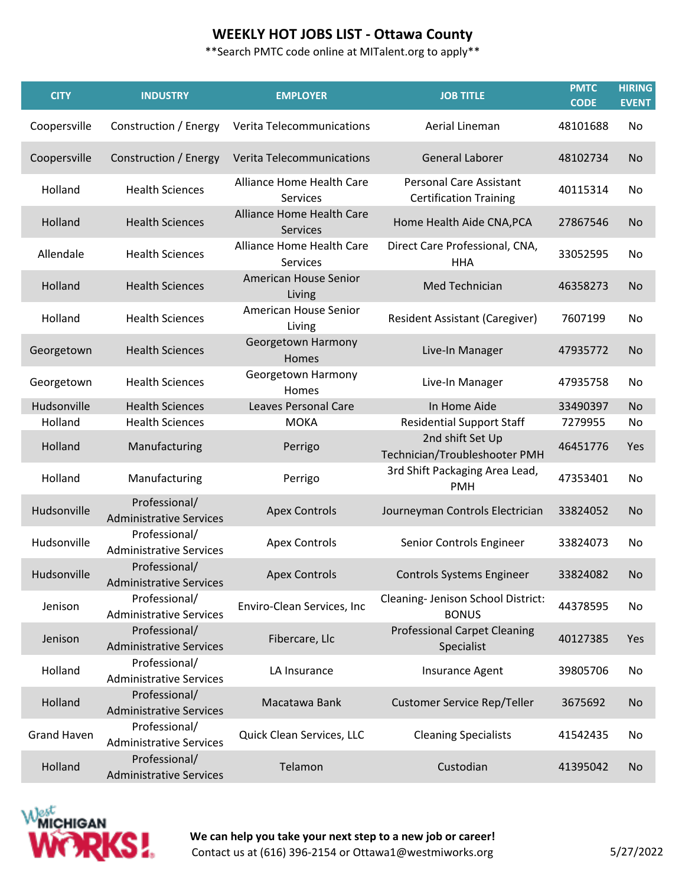#### **WEEKLY HOT JOBS LIST - Ottawa County**

\*\*Search PMTC code online at MITalent.org to apply\*\*

| <b>CITY</b>        | <b>INDUSTRY</b>                                 | <b>EMPLOYER</b>                              | <b>JOB TITLE</b>                                                | <b>PMTC</b><br><b>CODE</b> | <b>HIRING</b><br><b>EVENT</b> |
|--------------------|-------------------------------------------------|----------------------------------------------|-----------------------------------------------------------------|----------------------------|-------------------------------|
| Coopersville       | Construction / Energy                           | Verita Telecommunications                    | Aerial Lineman                                                  | 48101688                   | No                            |
| Coopersville       | Construction / Energy                           | Verita Telecommunications                    | <b>General Laborer</b>                                          | 48102734                   | <b>No</b>                     |
| Holland            | <b>Health Sciences</b>                          | Alliance Home Health Care<br><b>Services</b> | <b>Personal Care Assistant</b><br><b>Certification Training</b> | 40115314                   | No                            |
| Holland            | <b>Health Sciences</b>                          | Alliance Home Health Care<br><b>Services</b> | Home Health Aide CNA, PCA                                       | 27867546                   | No                            |
| Allendale          | <b>Health Sciences</b>                          | Alliance Home Health Care<br>Services        | Direct Care Professional, CNA,<br><b>HHA</b>                    | 33052595                   | No                            |
| Holland            | <b>Health Sciences</b>                          | American House Senior<br>Living              | Med Technician                                                  | 46358273                   | <b>No</b>                     |
| Holland            | <b>Health Sciences</b>                          | American House Senior<br>Living              | <b>Resident Assistant (Caregiver)</b>                           | 7607199                    | No                            |
| Georgetown         | <b>Health Sciences</b>                          | Georgetown Harmony<br>Homes                  | Live-In Manager                                                 | 47935772                   | <b>No</b>                     |
| Georgetown         | <b>Health Sciences</b>                          | Georgetown Harmony<br>Homes                  | Live-In Manager                                                 | 47935758                   | No                            |
| Hudsonville        | <b>Health Sciences</b>                          | <b>Leaves Personal Care</b>                  | In Home Aide                                                    | 33490397                   | <b>No</b>                     |
| Holland            | <b>Health Sciences</b>                          | <b>MOKA</b>                                  | <b>Residential Support Staff</b>                                | 7279955                    | No                            |
| Holland            | Manufacturing                                   | Perrigo                                      | 2nd shift Set Up<br>Technician/Troubleshooter PMH               | 46451776                   | Yes                           |
| Holland            | Manufacturing                                   | Perrigo                                      | 3rd Shift Packaging Area Lead,<br><b>PMH</b>                    | 47353401                   | No                            |
| Hudsonville        | Professional/<br><b>Administrative Services</b> | <b>Apex Controls</b>                         | Journeyman Controls Electrician                                 | 33824052                   | <b>No</b>                     |
| Hudsonville        | Professional/<br><b>Administrative Services</b> | <b>Apex Controls</b>                         | Senior Controls Engineer                                        | 33824073                   | No                            |
| Hudsonville        | Professional/<br><b>Administrative Services</b> | <b>Apex Controls</b>                         | <b>Controls Systems Engineer</b>                                | 33824082                   | No.                           |
| Jenison            | Professional/<br><b>Administrative Services</b> | Enviro-Clean Services, Inc                   | Cleaning- Jenison School District:<br><b>BONUS</b>              | 44378595                   | No                            |
| Jenison            | Professional/<br><b>Administrative Services</b> | Fibercare, Llc                               | <b>Professional Carpet Cleaning</b><br>Specialist               | 40127385                   | Yes                           |
| Holland            | Professional/<br><b>Administrative Services</b> | LA Insurance                                 | Insurance Agent                                                 | 39805706                   | No                            |
| Holland            | Professional/<br><b>Administrative Services</b> | Macatawa Bank                                | <b>Customer Service Rep/Teller</b>                              | 3675692                    | No                            |
| <b>Grand Haven</b> | Professional/<br><b>Administrative Services</b> | Quick Clean Services, LLC                    | <b>Cleaning Specialists</b>                                     | 41542435                   | No                            |
| Holland            | Professional/<br><b>Administrative Services</b> | Telamon                                      | Custodian                                                       | 41395042                   | No                            |



**We can help you take your next step to a new job or career!**  Contact us at (616) 396-2154 or Ottawa1@westmiworks.org 5/27/2022